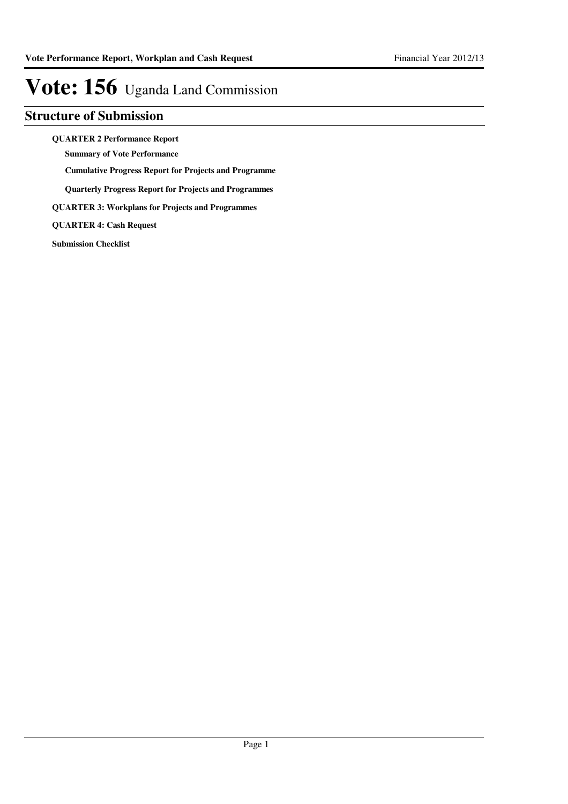### **Structure of Submission**

**QUARTER 2 Performance Report**

**Summary of Vote Performance**

**Cumulative Progress Report for Projects and Programme**

**Quarterly Progress Report for Projects and Programmes**

**QUARTER 3: Workplans for Projects and Programmes**

**QUARTER 4: Cash Request**

**Submission Checklist**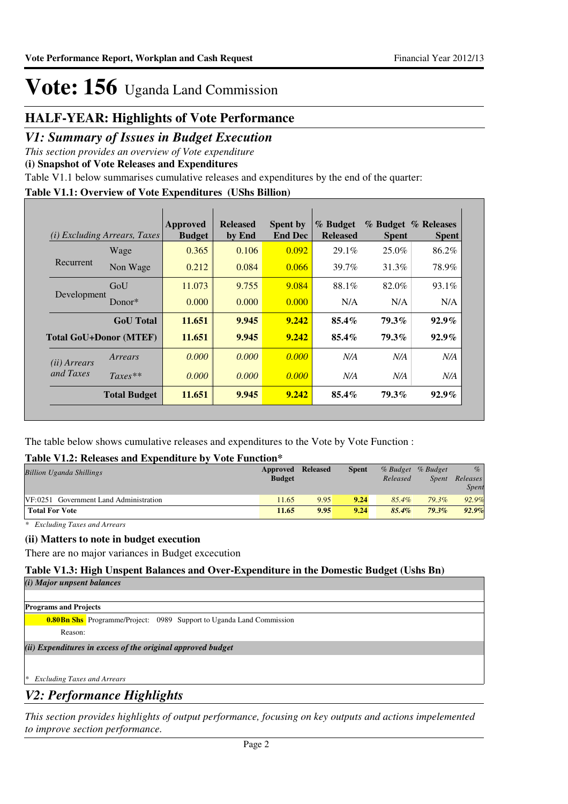### **HALF-YEAR: Highlights of Vote Performance**

### *V1: Summary of Issues in Budget Execution*

*This section provides an overview of Vote expenditure* 

**(i) Snapshot of Vote Releases and Expenditures**

Table V1.1 below summarises cumulative releases and expenditures by the end of the quarter:

### **Table V1.1: Overview of Vote Expenditures (UShs Billion)**

|                       | ( <i>i</i> ) Excluding Arrears, Taxes | Approved<br><b>Budget</b> | <b>Released</b><br>by End | <b>Spent by</b><br><b>End Dec</b> | % Budget<br><b>Released</b> | <b>Spent</b> | % Budget % Releases<br><b>Spent</b> |
|-----------------------|---------------------------------------|---------------------------|---------------------------|-----------------------------------|-----------------------------|--------------|-------------------------------------|
|                       | Wage                                  | 0.365                     | 0.106                     | 0.092                             | 29.1%                       | 25.0%        | 86.2%                               |
| Recurrent             | Non Wage                              | 0.212                     | 0.084                     | 0.066                             | 39.7%                       | 31.3%        | 78.9%                               |
| Development           | GoU                                   | 11.073                    | 9.755                     | 9.084                             | 88.1%                       | 82.0%        | $93.1\%$                            |
|                       | Donor $*$                             | 0.000                     | 0.000                     | 0.000                             | N/A                         | N/A          | N/A                                 |
|                       | <b>GoU</b> Total                      | 11.651                    | 9.945                     | 9.242                             | $85.4\%$                    | 79.3%        | $92.9\%$                            |
|                       | <b>Total GoU+Donor (MTEF)</b>         | 11.651                    | 9.945                     | 9.242                             | $85.4\%$                    | 79.3%        | $92.9\%$                            |
| ( <i>ii</i> ) Arrears | Arrears                               | 0.000                     | 0.000                     | 0.000                             | N/A                         | N/A          | N/A                                 |
| and Taxes             | $Taxes**$                             | 0.000                     | 0.000                     | 0.000                             | N/A                         | N/A          | N/A                                 |
|                       | <b>Total Budget</b>                   | 11.651                    | 9.945                     | 9.242                             | 85.4%                       | 79.3%        | $92.9\%$                            |

The table below shows cumulative releases and expenditures to the Vote by Vote Function :

### **Table V1.2: Releases and Expenditure by Vote Function\***

| <b>Billion Uganda Shillings</b>        | Approved<br><b>Budget</b> | <b>Released</b> | <b>Spent</b> | Released | % Budget % Budget<br>Spent | $\%$<br>Releases<br><b>Spent</b> |
|----------------------------------------|---------------------------|-----------------|--------------|----------|----------------------------|----------------------------------|
| VF:0251 Government Land Administration | 11.65                     | 9.95            | 9.24         | $85.4\%$ | 79.3%                      | 92.9%                            |
| <b>Total For Vote</b>                  | 11.65                     | 9.95            | 9.24         | 85.4%    | $79.3\%$                   | 92.9%                            |

*\* Excluding Taxes and Arrears*

#### **(ii) Matters to note in budget execution**

There are no major variances in Budget excecution

#### **Table V1.3: High Unspent Balances and Over-Expenditure in the Domestic Budget (Ushs Bn)**

| (i) Major unpsent balances                                                  |
|-----------------------------------------------------------------------------|
|                                                                             |
| <b>Programs and Projects</b>                                                |
| <b>0.80Bn Shs</b> Programme/Project: 0989 Support to Uganda Land Commission |
| Reason:                                                                     |
| (ii) Expenditures in excess of the original approved budget                 |
|                                                                             |
| <b>Excluding Taxes and Arrears</b><br>$\gg$                                 |
|                                                                             |

### *V2: Performance Highlights*

*This section provides highlights of output performance, focusing on key outputs and actions impelemented to improve section performance.*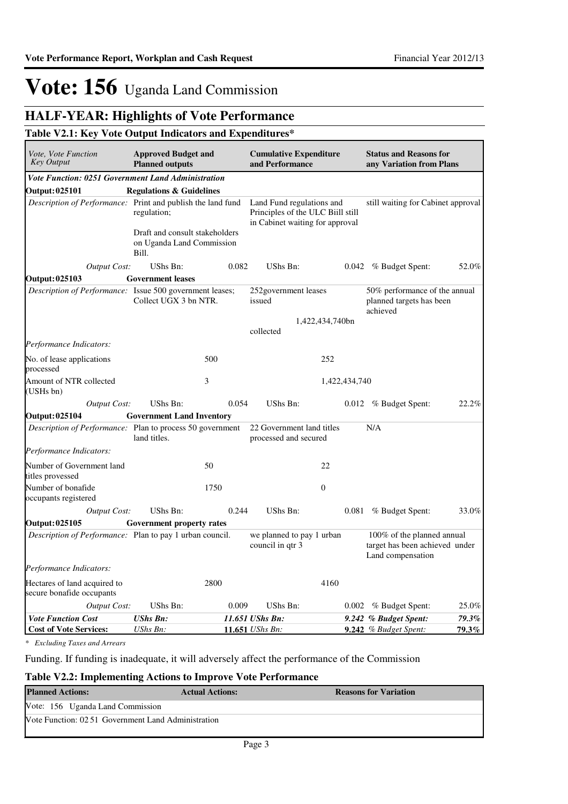## **HALF-YEAR: Highlights of Vote Performance**

### **Table V2.1: Key Vote Output Indicators and Expenditures\***

| <i>Vote, Vote Function</i><br><b>Key Output</b>                  | <b>Approved Budget and</b><br><b>Planned outputs</b>                 |       | <b>Cumulative Expenditure</b><br>and Performance                                                  |                 | <b>Status and Reasons for</b><br>any Variation from Plans                         |       |  |
|------------------------------------------------------------------|----------------------------------------------------------------------|-------|---------------------------------------------------------------------------------------------------|-----------------|-----------------------------------------------------------------------------------|-------|--|
| Vote Function: 0251 Government Land Administration               |                                                                      |       |                                                                                                   |                 |                                                                                   |       |  |
| <b>Output: 025101</b>                                            | <b>Regulations &amp; Guidelines</b>                                  |       |                                                                                                   |                 |                                                                                   |       |  |
| Description of Performance: Print and publish the land fund      | regulation;                                                          |       | Land Fund regulations and<br>Principles of the ULC Biill still<br>in Cabinet waiting for approval |                 | still waiting for Cabinet approval                                                |       |  |
|                                                                  | Draft and consult stakeholders<br>on Uganda Land Commission<br>Bill. |       |                                                                                                   |                 |                                                                                   |       |  |
| <b>Output Cost:</b>                                              | UShs Bn:                                                             | 0.082 | UShs Bn:                                                                                          |                 | 0.042 % Budget Spent:                                                             | 52.0% |  |
| <b>Output: 025103</b>                                            | <b>Government leases</b>                                             |       |                                                                                                   |                 |                                                                                   |       |  |
| Description of Performance: Issue 500 government leases;         | Collect UGX 3 bn NTR.                                                |       | 252 government leases<br>issued                                                                   |                 | 50% performance of the annual<br>planned targets has been<br>achieved             |       |  |
|                                                                  |                                                                      |       |                                                                                                   | 1,422,434,740bn |                                                                                   |       |  |
|                                                                  |                                                                      |       | collected                                                                                         |                 |                                                                                   |       |  |
| Performance Indicators:                                          |                                                                      |       |                                                                                                   |                 |                                                                                   |       |  |
| No. of lease applications<br>processed                           |                                                                      | 500   |                                                                                                   | 252             |                                                                                   |       |  |
| Amount of NTR collected<br>(USHs bn)                             |                                                                      | 3     |                                                                                                   | 1,422,434,740   |                                                                                   |       |  |
| <b>Output Cost:</b>                                              | UShs Bn:                                                             | 0.054 | UShs Bn:                                                                                          |                 | 0.012 % Budget Spent:                                                             | 22.2% |  |
| Output: 025104                                                   | <b>Government Land Inventory</b>                                     |       |                                                                                                   |                 |                                                                                   |       |  |
| <i>Description of Performance:</i> Plan to process 50 government | land titles.                                                         |       | 22 Government land titles<br>processed and secured                                                |                 | N/A                                                                               |       |  |
| Performance Indicators:                                          |                                                                      |       |                                                                                                   |                 |                                                                                   |       |  |
| Number of Government land<br>titles provessed                    |                                                                      | 50    |                                                                                                   | 22              |                                                                                   |       |  |
| Number of bonafide<br>occupants registered                       |                                                                      | 1750  |                                                                                                   | $\Omega$        |                                                                                   |       |  |
| <b>Output Cost:</b>                                              | UShs Bn:                                                             | 0.244 | UShs Bn:                                                                                          | 0.081           | % Budget Spent:                                                                   | 33.0% |  |
| Output: 025105                                                   | <b>Government property rates</b>                                     |       |                                                                                                   |                 |                                                                                   |       |  |
| <i>Description of Performance:</i> Plan to pay 1 urban council.  |                                                                      |       | we planned to pay 1 urban<br>council in qtr 3                                                     |                 | 100% of the planned annual<br>target has been achieved under<br>Land compensation |       |  |
| Performance Indicators:                                          |                                                                      |       |                                                                                                   |                 |                                                                                   |       |  |
| Hectares of land acquired to<br>secure bonafide occupants        |                                                                      | 2800  |                                                                                                   | 4160            |                                                                                   |       |  |
| <b>Output Cost:</b>                                              | UShs Bn:                                                             | 0.009 | UShs Bn:                                                                                          |                 | 0.002 % Budget Spent:                                                             | 25.0% |  |
| <b>Vote Function Cost</b>                                        | <b>UShs Bn:</b>                                                      |       | 11.651 UShs Bn:                                                                                   |                 | 9.242 % Budget Spent:                                                             | 79.3% |  |
| <b>Cost of Vote Services:</b>                                    | UShs Bn:                                                             |       | 11.651 UShs Bn:                                                                                   |                 | 9.242 % Budget Spent:                                                             | 79.3% |  |

*\* Excluding Taxes and Arrears*

Funding. If funding is inadequate, it will adversely affect the performance of the Commission

#### **Table V2.2: Implementing Actions to Improve Vote Performance**

| <b>Planned Actions:</b>                             | <b>Actual Actions:</b> | <b>Reasons for Variation</b> |
|-----------------------------------------------------|------------------------|------------------------------|
| Vote: 156 Uganda Land Commission                    |                        |                              |
| Vote Function: 02.51 Government Land Administration |                        |                              |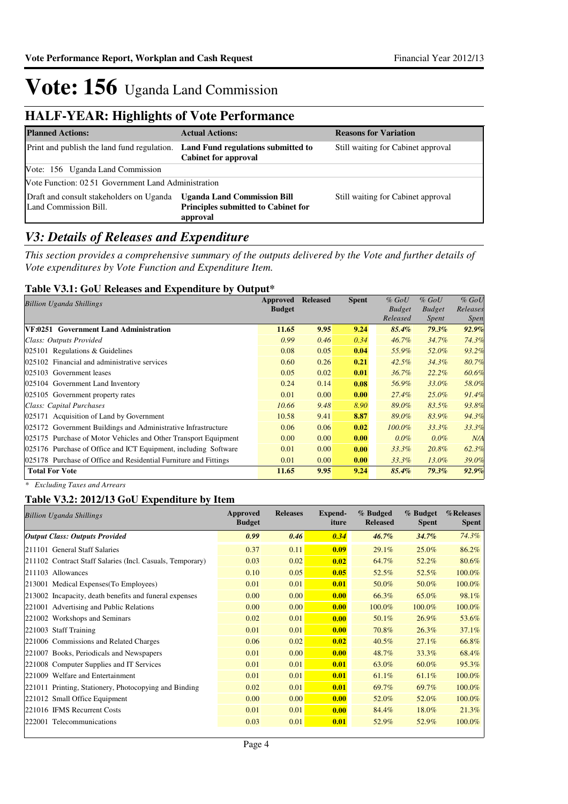## **HALF-YEAR: Highlights of Vote Performance**

| <b>Planned Actions:</b>                                           | <b>Actual Actions:</b>                                                                       | <b>Reasons for Variation</b>       |
|-------------------------------------------------------------------|----------------------------------------------------------------------------------------------|------------------------------------|
| Print and publish the land fund regulation.                       | Land Fund regulations submitted to<br><b>Cabinet for approval</b>                            | Still waiting for Cabinet approval |
| Vote: 156 Uganda Land Commission                                  |                                                                                              |                                    |
| Vote Function: 02.51 Government Land Administration               |                                                                                              |                                    |
| Draft and consult stakeholders on Uganda<br>Land Commission Bill. | <b>Uganda Land Commission Bill</b><br><b>Principles submitted to Cabinet for</b><br>approval | Still waiting for Cabinet approval |

### *V3: Details of Releases and Expenditure*

*This section provides a comprehensive summary of the outputs delivered by the Vote and further details of Vote expenditures by Vote Function and Expenditure Item.*

### **Table V3.1: GoU Releases and Expenditure by Output\***

| Billion Uganda Shillings                                         | Approved      | <b>Released</b> | <b>Spent</b> | $%$ GoU       | $%$ GoU       | $%$ GoU     |
|------------------------------------------------------------------|---------------|-----------------|--------------|---------------|---------------|-------------|
|                                                                  | <b>Budget</b> |                 |              | <b>Budget</b> | <b>Budget</b> | Releases    |
|                                                                  |               |                 |              | Released      | Spent         | <i>Spen</i> |
| VF:0251 Government Land Administration                           | 11.65         | 9.95            | 9.24         | $85.4\%$      | 79.3%         | 92.9%       |
| Class: Outputs Provided                                          | 0.99          | 0.46            | 0.34         | 46.7%         | 34.7%         | 74.3%       |
| $025101$ Regulations & Guidelines                                | 0.08          | 0.05            | 0.04         | 55.9%         | 52.0%         | 93.2%       |
| 025102 Financial and administrative services                     | 0.60          | 0.26            | 0.21         | $42.5\%$      | 34.3%         | 80.7%       |
| 025103 Government leases                                         | 0.05          | 0.02            | 0.01         | 36.7%         | $22.2\%$      | 60.6%       |
| 025104 Government Land Inventory                                 | 0.24          | 0.14            | 0.08         | 56.9%         | 33.0%         | 58.0%       |
| 025105 Government property rates                                 | 0.01          | 0.00            | 0.00         | 27.4%         | 25.0%         | 91.4%       |
| Class: Capital Purchases                                         | 10.66         | 9.48            | 8.90         | 89.0%         | 83.5%         | 93.8%       |
| 025171 Acquisition of Land by Government                         | 10.58         | 9.41            | 8.87         | 89.0%         | 83.9%         | 94.3%       |
| 025172 Government Buildings and Administrative Infrastructure    | 0.06          | 0.06            | 0.02         | $100.0\%$     | 33.3%         | 33.3%       |
| 025175 Purchase of Motor Vehicles and Other Transport Equipment  | 0.00          | 0.00            | 0.00         | $0.0\%$       | $0.0\%$       | N/A         |
| 025176 Purchase of Office and ICT Equipment, including Software  | 0.01          | 0.00            | 0.00         | 33.3%         | 20.8%         | 62.3%       |
| 025178 Purchase of Office and Residential Furniture and Fittings | 0.01          | 0.00            | 0.00         | 33.3%         | 13.0%         | 39.0%       |
| <b>Total For Vote</b>                                            | 11.65         | 9.95            | 9.24         | 85.4%         | 79.3%         | 92.9%       |

*\* Excluding Taxes and Arrears*

#### **Table V3.2: 2012/13 GoU Expenditure by Item**

| <b>Billion Uganda Shillings</b>                           | Approved<br><b>Budget</b> | <b>Releases</b> | Expend-<br>iture | % Budged<br><b>Released</b> | % Budget<br><b>Spent</b> | %Releases<br><b>Spent</b> |
|-----------------------------------------------------------|---------------------------|-----------------|------------------|-----------------------------|--------------------------|---------------------------|
| <b>Output Class: Outputs Provided</b>                     | 0.99                      | 0.46            | 0.34             | $46.7\%$                    | 34.7%                    | 74.3%                     |
| 211101 General Staff Salaries                             | 0.37                      | 0.11            | 0.09             | 29.1%                       | $25.0\%$                 | 86.2%                     |
| 211102 Contract Staff Salaries (Incl. Casuals, Temporary) | 0.03                      | 0.02            | 0.02             | 64.7%                       | 52.2%                    | 80.6%                     |
| 211103 Allowances                                         | 0.10                      | 0.05            | 0.05             | 52.5%                       | 52.5%                    | 100.0%                    |
| 213001 Medical Expenses (To Employees)                    | 0.01                      | 0.01            | 0.01             | 50.0%                       | 50.0%                    | 100.0%                    |
| 213002 Incapacity, death benefits and funeral expenses    | 0.00                      | 0.00            | 0.00             | 66.3%                       | 65.0%                    | 98.1%                     |
| 221001 Advertising and Public Relations                   | 0.00                      | 0.00            | 0.00             | 100.0%                      | 100.0%                   | 100.0%                    |
| 221002 Workshops and Seminars                             | 0.02                      | 0.01            | 0.00             | 50.1%                       | 26.9%                    | 53.6%                     |
| 221003 Staff Training                                     | 0.01                      | 0.01            | 0.00             | 70.8%                       | 26.3%                    | 37.1%                     |
| 221006 Commissions and Related Charges                    | 0.06                      | 0.02            | 0.02             | 40.5%                       | 27.1%                    | 66.8%                     |
| 221007 Books, Periodicals and Newspapers                  | 0.01                      | 0.00            | 0.00             | 48.7%                       | 33.3%                    | 68.4%                     |
| 221008 Computer Supplies and IT Services                  | 0.01                      | 0.01            | 0.01             | 63.0%                       | 60.0%                    | 95.3%                     |
| 221009 Welfare and Entertainment                          | 0.01                      | 0.01            | 0.01             | 61.1%                       | 61.1%                    | 100.0%                    |
| 221011 Printing, Stationery, Photocopying and Binding     | 0.02                      | 0.01            | 0.01             | 69.7%                       | 69.7%                    | 100.0%                    |
| 221012 Small Office Equipment                             | 0.00                      | 0.00            | 0.00             | 52.0%                       | 52.0%                    | 100.0%                    |
| 221016 IFMS Recurrent Costs                               | 0.01                      | 0.01            | 0.00             | 84.4%                       | 18.0%                    | 21.3%                     |
| 222001 Telecommunications                                 | 0.03                      | 0.01            | 0.01             | 52.9%                       | 52.9%                    | 100.0%                    |
|                                                           |                           |                 |                  |                             |                          |                           |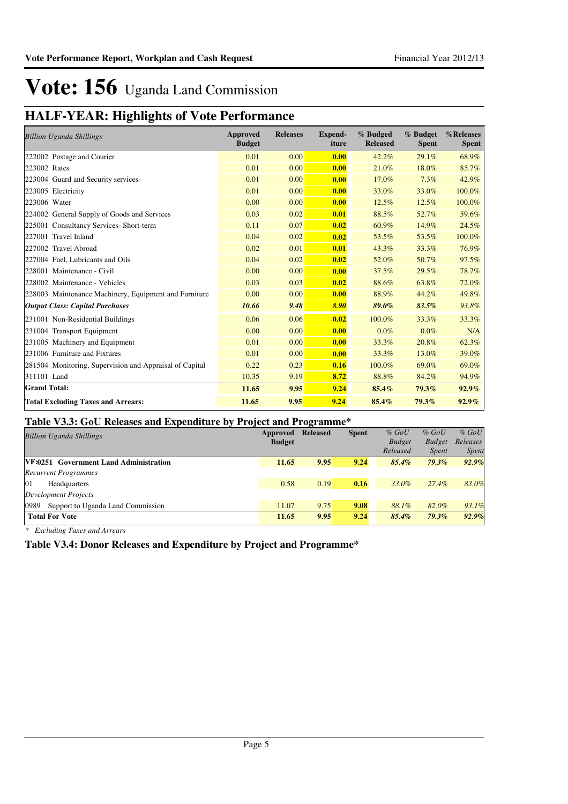## **HALF-YEAR: Highlights of Vote Performance**

| <b>Billion Uganda Shillings</b>                         | Approved<br><b>Budget</b> | <b>Releases</b> | <b>Expend-</b><br>iture | % Budged<br><b>Released</b> | % Budget<br><b>Spent</b> | %Releases<br><b>Spent</b> |
|---------------------------------------------------------|---------------------------|-----------------|-------------------------|-----------------------------|--------------------------|---------------------------|
| 222002 Postage and Courier                              | 0.01                      | 0.00            | 0.00                    | 42.2%                       | 29.1%                    | 68.9%                     |
| 223002 Rates                                            | 0.01                      | 0.00            | 0.00                    | 21.0%                       | 18.0%                    | 85.7%                     |
| 223004 Guard and Security services                      | 0.01                      | 0.00            | 0.00                    | 17.0%                       | 7.3%                     | 42.9%                     |
| 223005 Electricity                                      | 0.01                      | 0.00            | 0.00                    | 33.0%                       | 33.0%                    | 100.0%                    |
| 223006 Water                                            | 0.00                      | 0.00            | 0.00                    | 12.5%                       | 12.5%                    | 100.0%                    |
| 224002 General Supply of Goods and Services             | 0.03                      | 0.02            | 0.01                    | 88.5%                       | 52.7%                    | 59.6%                     |
| 225001 Consultancy Services- Short-term                 | 0.11                      | 0.07            | 0.02                    | 60.9%                       | 14.9%                    | 24.5%                     |
| 227001 Travel Inland                                    | 0.04                      | 0.02            | 0.02                    | 53.5%                       | 53.5%                    | 100.0%                    |
| 227002 Travel Abroad                                    | 0.02                      | 0.01            | 0.01                    | 43.3%                       | 33.3%                    | 76.9%                     |
| 227004 Fuel, Lubricants and Oils                        | 0.04                      | 0.02            | 0.02                    | 52.0%                       | 50.7%                    | 97.5%                     |
| 228001 Maintenance - Civil                              | 0.00                      | 0.00            | 0.00                    | 37.5%                       | 29.5%                    | 78.7%                     |
| 228002 Maintenance - Vehicles                           | 0.03                      | 0.03            | 0.02                    | 88.6%                       | 63.8%                    | 72.0%                     |
| 228003 Maintenance Machinery, Equipment and Furniture   | 0.00                      | 0.00            | 0.00                    | 88.9%                       | 44.2%                    | 49.8%                     |
| <b>Output Class: Capital Purchases</b>                  | 10.66                     | 9.48            | 8.90                    | 89.0%                       | 83.5%                    | 93.8%                     |
| 231001 Non-Residential Buildings                        | 0.06                      | 0.06            | 0.02                    | 100.0%                      | 33.3%                    | 33.3%                     |
| 231004 Transport Equipment                              | 0.00                      | 0.00            | 0.00                    | $0.0\%$                     | 0.0%                     | N/A                       |
| 231005 Machinery and Equipment                          | 0.01                      | 0.00            | 0.00                    | 33.3%                       | 20.8%                    | 62.3%                     |
| 231006 Furniture and Fixtures                           | 0.01                      | 0.00            | 0.00                    | 33.3%                       | 13.0%                    | 39.0%                     |
| 281504 Monitoring, Supervision and Appraisal of Capital | 0.22                      | 0.23            | 0.16                    | 100.0%                      | 69.0%                    | 69.0%                     |
| 311101 Land                                             | 10.35                     | 9.19            | 8.72                    | 88.8%                       | 84.2%                    | 94.9%                     |
| <b>Grand Total:</b>                                     | 11.65                     | 9.95            | 9.24                    | 85.4%                       | 79.3%                    | $92.9\%$                  |
| <b>Total Excluding Taxes and Arrears:</b>               | 11.65                     | 9.95            | 9.24                    | 85.4%                       | 79.3%                    | $92.9\%$                  |

### **Table V3.3: GoU Releases and Expenditure by Project and Programme\***

|                                           |               | $\overline{\phantom{0}}$ |              |               |               |              |
|-------------------------------------------|---------------|--------------------------|--------------|---------------|---------------|--------------|
| <b>Billion Uganda Shillings</b>           | Approved      | <b>Released</b>          | <b>Spent</b> | $%$ GoU       | $%$ GoU       | $%$ GoU      |
|                                           | <b>Budget</b> |                          |              | <b>Budget</b> | <b>Budget</b> | Releases     |
|                                           |               |                          |              | Released      | <i>Spent</i>  | <i>Spent</i> |
| VF:0251 Government Land Administration    | 11.65         | 9.95                     | 9.24         | $85.4\%$      | $79.3\%$      | 92.9%        |
| <b>Recurrent Programmes</b>               |               |                          |              |               |               |              |
| 01<br>Headquarters                        | 0.58          | 0.19                     | 0.16         | 33.0%         | 27.4%         | 83.0%        |
| Development Projects                      |               |                          |              |               |               |              |
| 0989<br>Support to Uganda Land Commission | 11.07         | 9.75                     | 9.08         | 88.1%         | 82.0%         | 93.1%        |
| <b>Total For Vote</b>                     | 11.65         | 9.95                     | 9.24         | $85.4\%$      | $79.3\%$      | 92.9%        |
|                                           |               |                          |              |               |               |              |

*\* Excluding Taxes and Arrears*

#### **Table V3.4: Donor Releases and Expenditure by Project and Programme\***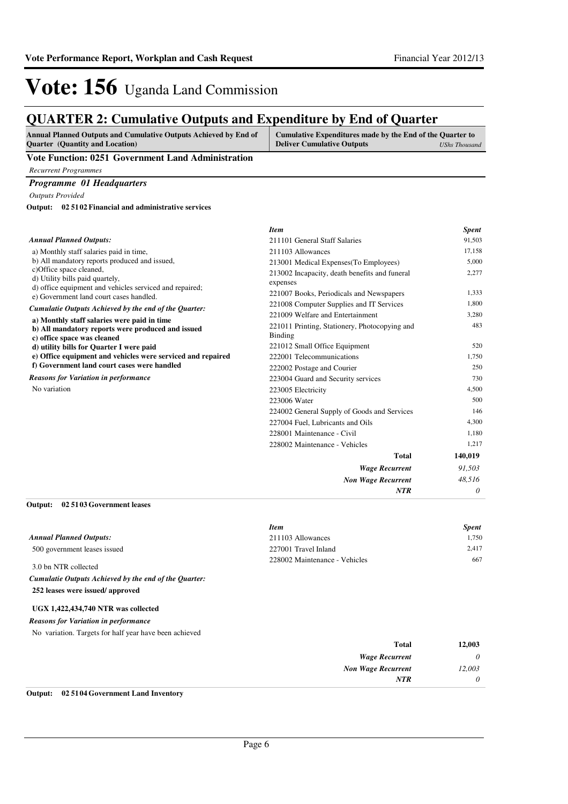## **QUARTER 2: Cumulative Outputs and Expenditure by End of Quarter**

| <b>Annual Planned Outputs and Cumulative Outputs Achieved by End of</b> | Cumulative Expenditures made by the End of the Quarter to |               |
|-------------------------------------------------------------------------|-----------------------------------------------------------|---------------|
| <b>Ouarter</b> (Quantity and Location)                                  | <b>Deliver Cumulative Outputs</b>                         | UShs Thousand |
|                                                                         |                                                           |               |

#### **Vote Function: 0251 Government Land Administration**

*Recurrent Programmes*

#### *Programme 01 Headquarters*

*Outputs Provided*

**02 5102 Financial and administrative services Output:**

|                                                                                                                       | <b>Item</b>                                                                                                                                                                                                                                            | <b>Spent</b> |
|-----------------------------------------------------------------------------------------------------------------------|--------------------------------------------------------------------------------------------------------------------------------------------------------------------------------------------------------------------------------------------------------|--------------|
| <b>Annual Planned Outputs:</b>                                                                                        | 211101 General Staff Salaries                                                                                                                                                                                                                          | 91,503       |
| a) Monthly staff salaries paid in time,                                                                               | 211103 Allowances                                                                                                                                                                                                                                      | 17,158       |
| b) All mandatory reports produced and issued,                                                                         | 213001 Medical Expenses (To Employees)                                                                                                                                                                                                                 | 5,000        |
| c)Office space cleaned,<br>d) Utility bills paid quartely,<br>d) office equipment and vehicles serviced and repaired; | 213002 Incapacity, death benefits and funeral<br>expenses                                                                                                                                                                                              | 2,277        |
| e) Government land court cases handled.                                                                               |                                                                                                                                                                                                                                                        | 1,333        |
| Cumulatie Outputs Achieved by the end of the Quarter:                                                                 |                                                                                                                                                                                                                                                        | 1,800        |
|                                                                                                                       | 221009 Welfare and Entertainment                                                                                                                                                                                                                       | 3,280        |
| b) All mandatory reports were produced and issued<br>c) office space was cleaned                                      | 221011 Printing, Stationery, Photocopying and<br><b>Binding</b>                                                                                                                                                                                        | 483          |
| d) utility bills for Quarter I were paid                                                                              | 221012 Small Office Equipment                                                                                                                                                                                                                          | 520          |
| e) Office equipment and vehicles were serviced and repaired                                                           | 222001 Telecommunications                                                                                                                                                                                                                              | 1,750        |
| f) Government land court cases were handled                                                                           | 222002 Postage and Courier                                                                                                                                                                                                                             | 250          |
| <b>Reasons for Variation in performance</b>                                                                           | 223004 Guard and Security services                                                                                                                                                                                                                     | 730          |
| No variation                                                                                                          | 223005 Electricity                                                                                                                                                                                                                                     | 4.500        |
|                                                                                                                       | 223006 Water                                                                                                                                                                                                                                           | 500          |
|                                                                                                                       | 224002 General Supply of Goods and Services                                                                                                                                                                                                            | 146          |
|                                                                                                                       | 221007 Books, Periodicals and Newspapers<br>221008 Computer Supplies and IT Services<br>a) Monthly staff salaries were paid in time<br>227004 Fuel, Lubricants and Oils<br>228001 Maintenance - Civil<br>228002 Maintenance - Vehicles<br><b>Total</b> | 4,300        |
|                                                                                                                       |                                                                                                                                                                                                                                                        | 1,180        |
|                                                                                                                       |                                                                                                                                                                                                                                                        | 1,217        |
|                                                                                                                       |                                                                                                                                                                                                                                                        | 140,019      |
|                                                                                                                       | <b>Wage Recurrent</b>                                                                                                                                                                                                                                  | 91,503       |
|                                                                                                                       | <b>Non Wage Recurrent</b>                                                                                                                                                                                                                              | 48,516       |
|                                                                                                                       | NTR                                                                                                                                                                                                                                                    | 0            |

#### **02 5103 Government leases Output:**

|                                | <b>Item</b>                   | <b>Spent</b> |
|--------------------------------|-------------------------------|--------------|
| <b>Annual Planned Outputs:</b> | 211103 Allowances             | 1.750        |
| 500 government leases issued   | 227001 Travel Inland          | 2.417        |
| 3.0 bn NTR collected           | 228002 Maintenance - Vehicles | 667          |

**252 leases were issued/ approved** *Cumulatie Outputs Achieved by the end of the Quarter:*

#### **UGX 1,422,434,740 NTR was collected**

No variation. Targets for half year have been achieved *Reasons for Variation in performance*

| 12,003   | <b>Total</b>                                                                                           |
|----------|--------------------------------------------------------------------------------------------------------|
| $\theta$ | <b>Wage Recurrent</b>                                                                                  |
| 12,003   | <b>Non Wage Recurrent</b>                                                                              |
| 0        | <b>NTR</b>                                                                                             |
|          | $\sim$ $\sim$ $\sim$ $\sim$ $\sim$ $\sim$<br>$\mathbf{r}$ , $\mathbf{r}$ , $\mathbf{r}$ , $\mathbf{r}$ |

#### **Output: 02 5104 Government Land Inventory**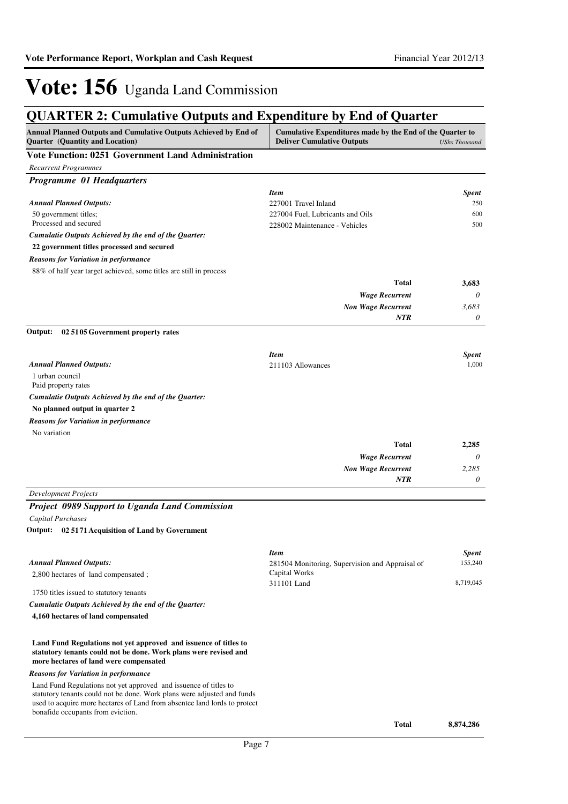## **QUARTER 2: Cumulative Outputs and Expenditure by End of Quarter**

| Annual Planned Outputs and Cumulative Outputs Achieved by End of<br>Quarter (Quantity and Location)                                                                                       | Cumulative Expenditures made by the End of the Quarter to<br><b>Deliver Cumulative Outputs</b> | <b>UShs Thousand</b>    |
|-------------------------------------------------------------------------------------------------------------------------------------------------------------------------------------------|------------------------------------------------------------------------------------------------|-------------------------|
| <b>Vote Function: 0251 Government Land Administration</b>                                                                                                                                 |                                                                                                |                         |
| <b>Recurrent Programmes</b>                                                                                                                                                               |                                                                                                |                         |
| <b>Programme 01 Headquarters</b>                                                                                                                                                          |                                                                                                |                         |
|                                                                                                                                                                                           | <b>Item</b>                                                                                    | <b>Spent</b>            |
| <b>Annual Planned Outputs:</b>                                                                                                                                                            | 227001 Travel Inland                                                                           | 250                     |
| 50 government titles;                                                                                                                                                                     | 227004 Fuel, Lubricants and Oils                                                               | 600                     |
| Processed and secured                                                                                                                                                                     | 228002 Maintenance - Vehicles                                                                  | 500                     |
| Cumulatie Outputs Achieved by the end of the Quarter:                                                                                                                                     |                                                                                                |                         |
| 22 government titles processed and secured                                                                                                                                                |                                                                                                |                         |
| <b>Reasons for Variation in performance</b>                                                                                                                                               |                                                                                                |                         |
| 88% of half year target achieved, some titles are still in process                                                                                                                        |                                                                                                |                         |
|                                                                                                                                                                                           | <b>Total</b>                                                                                   | 3,683                   |
|                                                                                                                                                                                           | <b>Wage Recurrent</b>                                                                          | 0                       |
|                                                                                                                                                                                           | <b>Non Wage Recurrent</b><br><b>NTR</b>                                                        | 3.683<br>0              |
|                                                                                                                                                                                           |                                                                                                |                         |
| 02 51 05 Government property rates<br>Output:                                                                                                                                             |                                                                                                |                         |
|                                                                                                                                                                                           | <b>Item</b>                                                                                    | <b>Spent</b>            |
| <b>Annual Planned Outputs:</b>                                                                                                                                                            | 211103 Allowances                                                                              | 1,000                   |
| 1 urban council                                                                                                                                                                           |                                                                                                |                         |
| Paid property rates                                                                                                                                                                       |                                                                                                |                         |
| Cumulatie Outputs Achieved by the end of the Quarter:                                                                                                                                     |                                                                                                |                         |
| No planned output in quarter 2                                                                                                                                                            |                                                                                                |                         |
| <b>Reasons for Variation in performance</b>                                                                                                                                               |                                                                                                |                         |
| No variation                                                                                                                                                                              |                                                                                                |                         |
|                                                                                                                                                                                           | <b>Total</b>                                                                                   | 2,285                   |
|                                                                                                                                                                                           | <b>Wage Recurrent</b>                                                                          | 0                       |
|                                                                                                                                                                                           | <b>Non Wage Recurrent</b>                                                                      | 2,285                   |
|                                                                                                                                                                                           | NTR                                                                                            | 0                       |
| Development Projects                                                                                                                                                                      |                                                                                                |                         |
| <b>Project 0989 Support to Uganda Land Commission</b>                                                                                                                                     |                                                                                                |                         |
| <b>Capital Purchases</b>                                                                                                                                                                  |                                                                                                |                         |
| Output: 02 5171 Acquisition of Land by Government                                                                                                                                         |                                                                                                |                         |
|                                                                                                                                                                                           |                                                                                                |                         |
| <b>Annual Planned Outputs:</b>                                                                                                                                                            | <b>Item</b>                                                                                    | <b>Spent</b><br>155,240 |
| 2,800 hectares of land compensated;                                                                                                                                                       | 281504 Monitoring, Supervision and Appraisal of<br>Capital Works                               |                         |
|                                                                                                                                                                                           | 311101 Land                                                                                    | 8,719,045               |
| 1750 titles issued to statutory tenants                                                                                                                                                   |                                                                                                |                         |
| Cumulatie Outputs Achieved by the end of the Quarter:                                                                                                                                     |                                                                                                |                         |
| 4,160 hectares of land compensated                                                                                                                                                        |                                                                                                |                         |
| Land Fund Regulations not yet approved and issuence of titles to<br>statutory tenants could not be done. Work plans were revised and<br>more hectares of land were compensated            |                                                                                                |                         |
| <b>Reasons for Variation in performance</b>                                                                                                                                               |                                                                                                |                         |
| Land Fund Regulations not yet approved and issuence of titles to                                                                                                                          |                                                                                                |                         |
| statutory tenants could not be done. Work plans were adjusted and funds<br>used to acquire more hectares of Land from absentee land lords to protect<br>bonafide occupants from eviction. |                                                                                                |                         |
|                                                                                                                                                                                           | <b>Total</b>                                                                                   | 8,874,286               |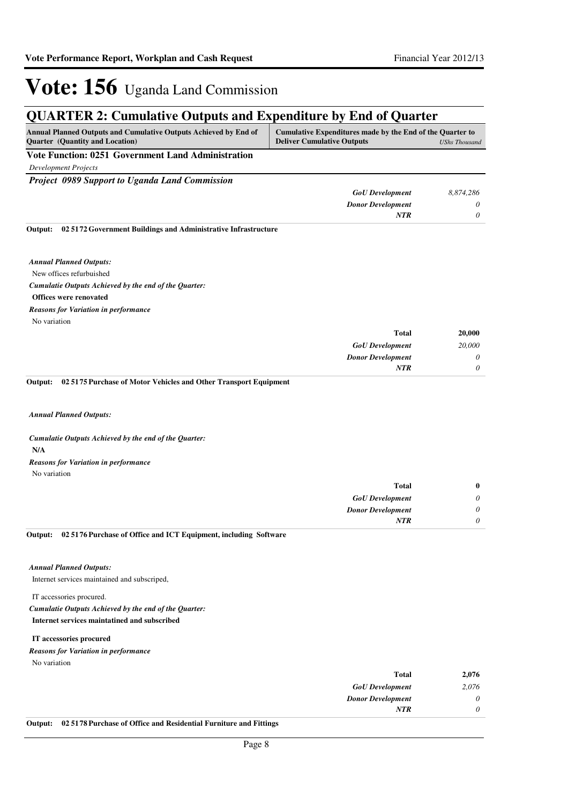## **QUARTER 2: Cumulative Outputs and Expenditure by End of Quarter**

**Vote Function: 0251 Government Land Administration**

*Development Projects*

*Project 0989 Support to Uganda Land Commission*

| <b>GoU</b> Development   | 8,874,286 |
|--------------------------|-----------|
| <b>Donor Development</b> |           |
| NTR                      |           |

**02 5172 Government Buildings and Administrative Infrastructure Output:**

New offices refurbuished **Offices were renovated** *Cumulatie Outputs Achieved by the end of the Quarter: Annual Planned Outputs:* No variation *Reasons for Variation in performance*

| 20,000 | <b>Total</b>             |
|--------|--------------------------|
| 20,000 | <b>GoU</b> Development   |
| 0      | <b>Donor Development</b> |
|        | <b>NTR</b>               |
|        |                          |

**02 5175 Purchase of Motor Vehicles and Other Transport Equipment Output:**

*Annual Planned Outputs:*

**N/A** *Cumulatie Outputs Achieved by the end of the Quarter:* No variation *Reasons for Variation in performance*

| $\bf{0}$ | <b>Total</b>             |
|----------|--------------------------|
| 0        | <b>GoU</b> Development   |
| 0        | <b>Donor Development</b> |
|          | <b>NTR</b>               |

#### **02 5176 Purchase of Office and ICT Equipment, including Software Output:**

#### *Annual Planned Outputs:*

Internet services maintained and subscriped,

IT accessories procured.

#### **Internet services maintatined and subscribed** *Cumulatie Outputs Achieved by the end of the Quarter:*

#### **IT accessories procured**

No variation *Reasons for Variation in performance*

| 2,076    | <b>Total</b>             |
|----------|--------------------------|
| 2,076    | <b>GoU</b> Development   |
| $\theta$ | <b>Donor Development</b> |
| $\theta$ | <b>NTR</b>               |
|          |                          |

**Output: 02 5178 Purchase of Office and Residential Furniture and Fittings**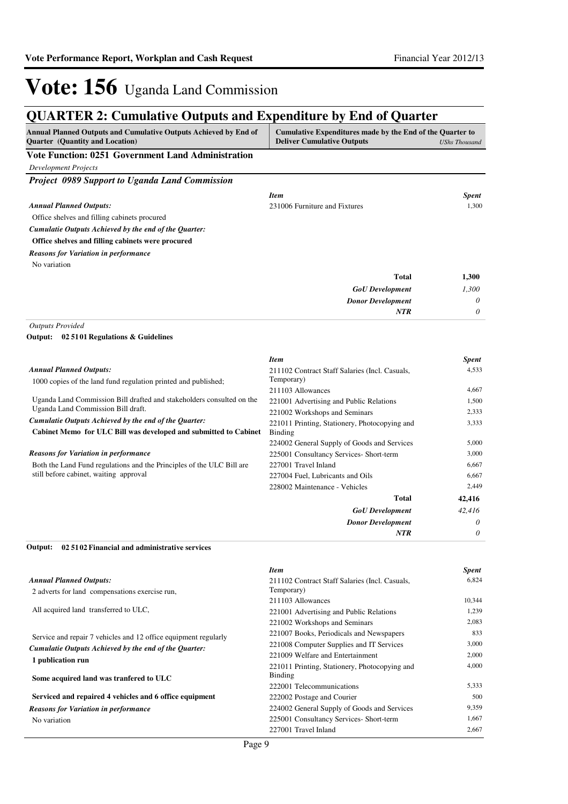## **QUARTER 2: Cumulative Outputs and Expenditure by End of Quarter**

| Annual Planned Outputs and Cumulative Outputs Achieved by End of<br><b>Quarter</b> (Quantity and Location) | Cumulative Expenditures made by the End of the Quarter to<br><b>Deliver Cumulative Outputs</b> | <b>UShs Thousand</b> |
|------------------------------------------------------------------------------------------------------------|------------------------------------------------------------------------------------------------|----------------------|
| <b>Vote Function: 0251 Government Land Administration</b>                                                  |                                                                                                |                      |
| <b>Development Projects</b>                                                                                |                                                                                                |                      |
| Project 0989 Support to Uganda Land Commission                                                             |                                                                                                |                      |
|                                                                                                            | <b>Item</b>                                                                                    | <b>Spent</b>         |
| <b>Annual Planned Outputs:</b>                                                                             | 231006 Furniture and Fixtures                                                                  | 1,300                |
| Office shelves and filling cabinets procured                                                               |                                                                                                |                      |
| Cumulatie Outputs Achieved by the end of the Quarter:                                                      |                                                                                                |                      |
| Office shelves and filling cabinets were procured                                                          |                                                                                                |                      |
| <b>Reasons for Variation in performance</b>                                                                |                                                                                                |                      |
| No variation                                                                                               |                                                                                                |                      |
|                                                                                                            | <b>Total</b>                                                                                   | 1,300                |
|                                                                                                            | <b>GoU</b> Development                                                                         | 1,300                |
|                                                                                                            | <b>Donor Development</b>                                                                       | 0                    |
|                                                                                                            | <b>NTR</b>                                                                                     | 0                    |
| <b>Outputs Provided</b><br>Output: 02 51 01 Regulations & Guidelines                                       |                                                                                                |                      |
|                                                                                                            | <b>Item</b>                                                                                    | <b>Spent</b>         |
| <b>Annual Planned Outputs:</b>                                                                             | 211102 Contract Staff Salaries (Incl. Casuals,                                                 | 4,533                |
| 1000 copies of the land fund regulation printed and published;                                             | Temporary)                                                                                     |                      |
| Uganda Land Commission Bill drafted and stakeholders consulted on the                                      | 211103 Allowances                                                                              | 4,667<br>1,500       |
| Uganda Land Commission Bill draft.                                                                         | 221001 Advertising and Public Relations<br>221002 Workshops and Seminars                       | 2,333                |
| Cumulatie Outputs Achieved by the end of the Quarter:                                                      | 221011 Printing, Stationery, Photocopying and                                                  | 3,333                |
| Cabinet Memo for ULC Bill was developed and submitted to Cabinet                                           | Binding                                                                                        |                      |
|                                                                                                            | 224002 General Supply of Goods and Services                                                    | 5,000                |
| <b>Reasons for Variation in performance</b>                                                                | 225001 Consultancy Services- Short-term                                                        | 3,000                |
| Both the Land Fund regulations and the Principles of the ULC Bill are                                      | 227001 Travel Inland                                                                           | 6.667                |
| still before cabinet, waiting approval                                                                     | 227004 Fuel, Lubricants and Oils                                                               | 6,667                |
|                                                                                                            | 228002 Maintenance - Vehicles                                                                  | 2,449                |
|                                                                                                            | <b>Total</b>                                                                                   | 42,416               |
|                                                                                                            | <b>GoU</b> Development                                                                         | 42,416               |
|                                                                                                            | <b>Donor Development</b>                                                                       | 0                    |
|                                                                                                            | <b>NTR</b>                                                                                     | 0                    |

**02 5102 Financial and administrative services Output:**

|                                                                                                                       | <b>Item</b>                                    | <b>Spent</b> |
|-----------------------------------------------------------------------------------------------------------------------|------------------------------------------------|--------------|
| <b>Annual Planned Outputs:</b>                                                                                        | 211102 Contract Staff Salaries (Incl. Casuals, | 6,824        |
| 2 adverts for land compensations exercise run,                                                                        | Temporary)                                     |              |
|                                                                                                                       | 211103 Allowances                              | 10,344       |
| All acquired land transferred to ULC,                                                                                 | 221001 Advertising and Public Relations        | 1,239        |
|                                                                                                                       | 221002 Workshops and Seminars                  | 2,083        |
| Service and repair 7 vehicles and 12 office equipment regularly                                                       | 221007 Books, Periodicals and Newspapers       | 833          |
| Cumulatie Outputs Achieved by the end of the Quarter:<br>1 publication run<br>Some acquired land was tranfered to ULC | 221008 Computer Supplies and IT Services       | 3,000        |
|                                                                                                                       | 221009 Welfare and Entertainment               | 2,000        |
|                                                                                                                       | 221011 Printing, Stationery, Photocopying and  | 4,000        |
|                                                                                                                       | Binding                                        |              |
|                                                                                                                       | 222001 Telecommunications                      | 5,333        |
| Serviced and repaired 4 vehicles and 6 office equipment                                                               | 222002 Postage and Courier                     | 500          |
| <b>Reasons for Variation in performance</b>                                                                           | 224002 General Supply of Goods and Services    | 9,359        |
| No variation                                                                                                          | 225001 Consultancy Services- Short-term        | 1,667        |
|                                                                                                                       | 227001 Travel Inland                           | 2,667        |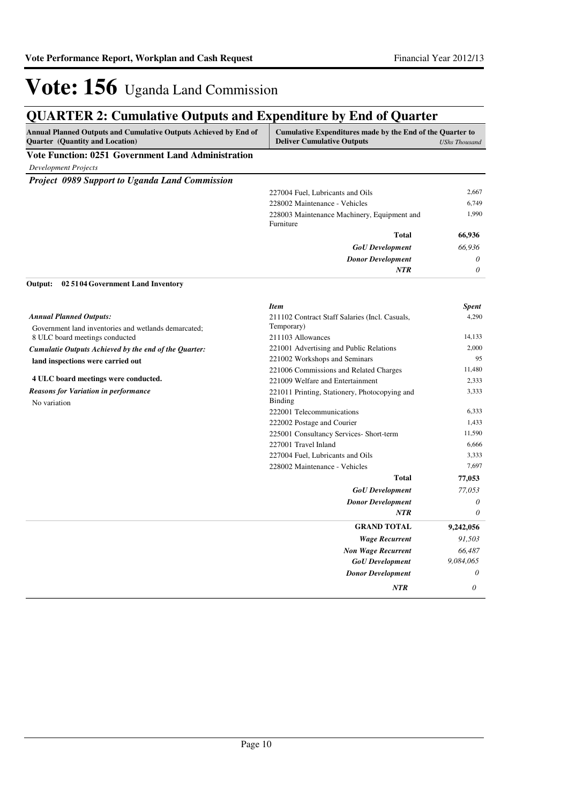## **QUARTER 2: Cumulative Outputs and Expenditure by End of Quarter**

| Annual Planned Outputs and Cumulative Outputs Achieved by End of<br><b>Quarter</b> (Quantity and Location) | Cumulative Expenditures made by the End of the Quarter to<br><b>Deliver Cumulative Outputs</b> | <b>UShs Thousand</b> |
|------------------------------------------------------------------------------------------------------------|------------------------------------------------------------------------------------------------|----------------------|
| <b>Vote Function: 0251 Government Land Administration</b>                                                  |                                                                                                |                      |
| <b>Development Projects</b>                                                                                |                                                                                                |                      |
| <b>Project 0989 Support to Uganda Land Commission</b>                                                      |                                                                                                |                      |
|                                                                                                            | 227004 Fuel, Lubricants and Oils                                                               | 2,667                |
|                                                                                                            | 228002 Maintenance - Vehicles                                                                  | 6,749                |
|                                                                                                            | 228003 Maintenance Machinery, Equipment and<br>Furniture                                       | 1,990                |
|                                                                                                            | <b>Total</b>                                                                                   | 66,936               |
|                                                                                                            | <b>GoU</b> Development                                                                         | 66,936               |
|                                                                                                            | <b>Donor Development</b>                                                                       | 0                    |
|                                                                                                            | <b>NTR</b>                                                                                     | $\theta$             |
| Output:<br>02 51 04 Government Land Inventory                                                              |                                                                                                |                      |
|                                                                                                            | <b>Item</b>                                                                                    | <b>Spent</b>         |
| <b>Annual Planned Outputs:</b>                                                                             | 211102 Contract Staff Salaries (Incl. Casuals,                                                 | 4.290                |
| Government land inventories and wetlands demarcated;                                                       | Temporary)<br>211103 Allowances                                                                | 14,133               |
| 8 ULC board meetings conducted                                                                             | 221001 Advertising and Public Relations                                                        | 2,000                |
| Cumulatie Outputs Achieved by the end of the Quarter:                                                      | 221002 Workshops and Seminars                                                                  | 95                   |
| land inspections were carried out                                                                          | 221006 Commissions and Related Charges                                                         | 11,480               |
| 4 ULC board meetings were conducted.                                                                       | 221009 Welfare and Entertainment                                                               | 2,333                |
| <b>Reasons for Variation in performance</b><br>No variation                                                | 221011 Printing, Stationery, Photocopying and<br>Binding                                       | 3,333                |
|                                                                                                            | 222001 Telecommunications                                                                      | 6,333                |
|                                                                                                            | 222002 Postage and Courier                                                                     | 1,433                |
|                                                                                                            | 225001 Consultancy Services- Short-term                                                        | 11,590               |
|                                                                                                            | 227001 Travel Inland                                                                           | 6,666                |
|                                                                                                            | 227004 Fuel, Lubricants and Oils                                                               | 3,333                |
|                                                                                                            | 228002 Maintenance - Vehicles                                                                  | 7,697                |
|                                                                                                            | <b>Total</b>                                                                                   | 77,053               |
|                                                                                                            | <b>GoU</b> Development                                                                         | 77,053               |
|                                                                                                            | <b>Donor Development</b>                                                                       | 0                    |
|                                                                                                            | <b>NTR</b>                                                                                     | $\theta$             |
|                                                                                                            | <b>GRAND TOTAL</b>                                                                             | 9,242,056            |
|                                                                                                            | <b>Wage Recurrent</b>                                                                          | 91,503               |
|                                                                                                            | <b>Non Wage Recurrent</b>                                                                      | 66,487               |
|                                                                                                            | <b>GoU</b> Development                                                                         | 9,084,065            |
|                                                                                                            | <b>Donor Development</b>                                                                       | 0                    |
|                                                                                                            | <b>NTR</b>                                                                                     | 0                    |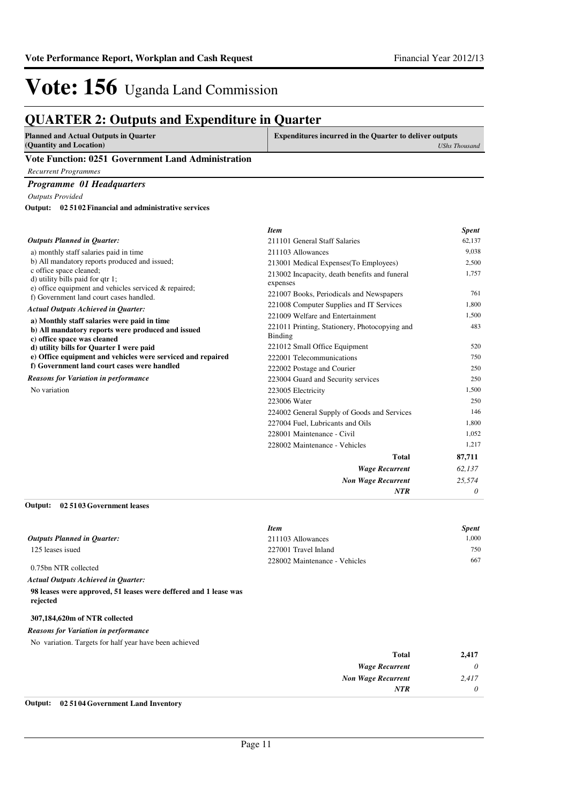## **QUARTER 2: Outputs and Expenditure in Quarter**

| <b>Planned and Actual Outputs in Quarter</b>       | <b>Expenditures incurred in the Quarter to deliver outputs</b> |
|----------------------------------------------------|----------------------------------------------------------------|
| (Quantity and Location)                            | UShs Thousand                                                  |
| Vote Function: 0251 Government Land Administration |                                                                |

*Recurrent Programmes*

*Programme 01 Headquarters*

*Outputs Provided*

**02 5102 Financial and administrative services Output:**

|                                                                                                                         | <b>Item</b>                                                     | <b>Spent</b> |
|-------------------------------------------------------------------------------------------------------------------------|-----------------------------------------------------------------|--------------|
| <b>Outputs Planned in Ouarter:</b>                                                                                      | 211101 General Staff Salaries                                   | 62,137       |
| a) monthly staff salaries paid in time                                                                                  | 211103 Allowances                                               | 9,038        |
| b) All mandatory reports produced and issued;                                                                           | 213001 Medical Expenses (To Employees)                          | 2,500        |
| c office space cleaned;<br>d) utility bills paid for qtr 1;<br>e) office equipment and vehicles serviced $\&$ repaired; | 213002 Incapacity, death benefits and funeral<br>expenses       | 1,757        |
| f) Government land court cases handled.                                                                                 | 221007 Books, Periodicals and Newspapers                        | 761          |
| <b>Actual Outputs Achieved in Quarter:</b>                                                                              | 221008 Computer Supplies and IT Services                        | 1,800        |
| a) Monthly staff salaries were paid in time                                                                             | 221009 Welfare and Entertainment                                | 1,500        |
| b) All mandatory reports were produced and issued<br>c) office space was cleaned                                        | 221011 Printing, Stationery, Photocopying and<br><b>Binding</b> | 483          |
| d) utility bills for Quarter I were paid                                                                                | 221012 Small Office Equipment                                   | 520          |
| e) Office equipment and vehicles were serviced and repaired                                                             | 222001 Telecommunications                                       | 750          |
| f) Government land court cases were handled                                                                             | 222002 Postage and Courier                                      | 250          |
| <b>Reasons for Variation in performance</b>                                                                             | 223004 Guard and Security services                              | 250          |
| No variation                                                                                                            | 223005 Electricity                                              | 1,500        |
|                                                                                                                         | 223006 Water                                                    | 250          |
|                                                                                                                         | 224002 General Supply of Goods and Services                     | 146          |
|                                                                                                                         | 227004 Fuel, Lubricants and Oils                                | 1,800        |
|                                                                                                                         | 228001 Maintenance - Civil                                      | 1,052        |
|                                                                                                                         | 228002 Maintenance - Vehicles                                   | 1,217        |
|                                                                                                                         | <b>Total</b>                                                    | 87,711       |
|                                                                                                                         | <b>Wage Recurrent</b>                                           | 62,137       |
|                                                                                                                         | <b>Non Wage Recurrent</b>                                       | 25,574       |
|                                                                                                                         | <b>NTR</b>                                                      | 0            |

#### **02 5103 Government leases Output:**

|                             | <b>Item</b>                   | Spent |
|-----------------------------|-------------------------------|-------|
| Outputs Planned in Quarter: | 211103 Allowances             | 1.000 |
| 125 leases isued            | 227001 Travel Inland          | 750   |
| 0.75bn NTR collected        | 228002 Maintenance - Vehicles | 667   |

*Actual Outputs Achieved in Quarter:*

**98 leases were approved, 51 leases were deffered and 1 lease was rejected**

#### **307,184,620m of NTR collected**

*Reasons for Variation in performance*

No variation. Targets for half year have been achieved

| 2,417 | <b>Total</b>              |
|-------|---------------------------|
| 0     | <b>Wage Recurrent</b>     |
| 2,417 | <b>Non Wage Recurrent</b> |
| 0     | <b>NTR</b>                |
|       |                           |

**Output: 02 5104 Government Land Inventory**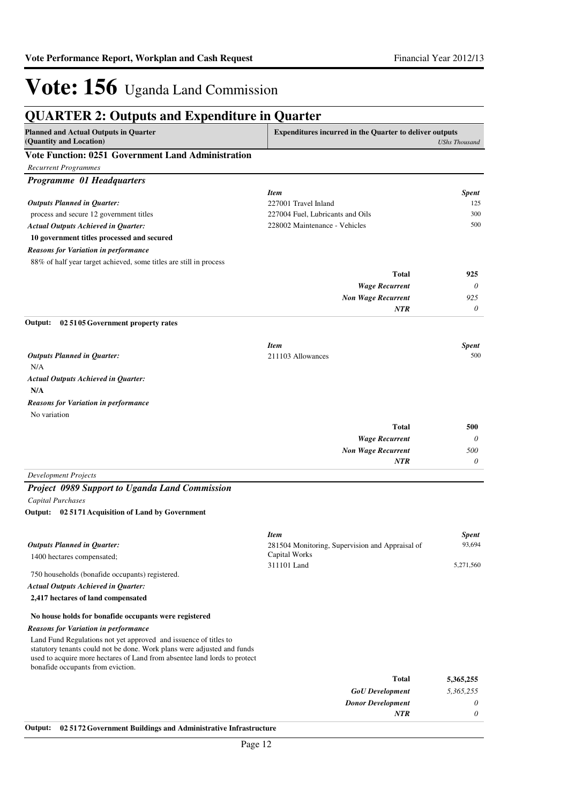| <b>QUARTER 2: Outputs and Expenditure in Quarter</b><br><b>Planned and Actual Outputs in Quarter</b>                                                                                                                                                          | <b>Expenditures incurred in the Quarter to deliver outputs</b> |                      |
|---------------------------------------------------------------------------------------------------------------------------------------------------------------------------------------------------------------------------------------------------------------|----------------------------------------------------------------|----------------------|
| (Quantity and Location)                                                                                                                                                                                                                                       |                                                                | <b>UShs Thousand</b> |
| Vote Function: 0251 Government Land Administration                                                                                                                                                                                                            |                                                                |                      |
| <b>Recurrent Programmes</b>                                                                                                                                                                                                                                   |                                                                |                      |
| <b>Programme 01 Headquarters</b>                                                                                                                                                                                                                              |                                                                |                      |
|                                                                                                                                                                                                                                                               | <b>Item</b>                                                    | <b>Spent</b>         |
| <b>Outputs Planned in Quarter:</b>                                                                                                                                                                                                                            | 227001 Travel Inland                                           | 125                  |
| process and secure 12 government titles                                                                                                                                                                                                                       | 227004 Fuel, Lubricants and Oils                               | 300                  |
| <b>Actual Outputs Achieved in Quarter:</b>                                                                                                                                                                                                                    | 228002 Maintenance - Vehicles                                  | 500                  |
| 10 government titles processed and secured                                                                                                                                                                                                                    |                                                                |                      |
| <b>Reasons for Variation in performance</b>                                                                                                                                                                                                                   |                                                                |                      |
| 88% of half year target achieved, some titles are still in process                                                                                                                                                                                            |                                                                |                      |
|                                                                                                                                                                                                                                                               | Total                                                          | 925                  |
|                                                                                                                                                                                                                                                               | <b>Wage Recurrent</b>                                          | 0                    |
|                                                                                                                                                                                                                                                               | <b>Non Wage Recurrent</b>                                      | 925                  |
|                                                                                                                                                                                                                                                               | NTR                                                            | 0                    |
| Output:<br>02 5105 Government property rates                                                                                                                                                                                                                  |                                                                |                      |
|                                                                                                                                                                                                                                                               | <b>Item</b>                                                    | <b>Spent</b>         |
| <b>Outputs Planned in Quarter:</b>                                                                                                                                                                                                                            | 211103 Allowances                                              | 500                  |
| N/A                                                                                                                                                                                                                                                           |                                                                |                      |
| <b>Actual Outputs Achieved in Quarter:</b>                                                                                                                                                                                                                    |                                                                |                      |
| N/A                                                                                                                                                                                                                                                           |                                                                |                      |
| <b>Reasons for Variation in performance</b>                                                                                                                                                                                                                   |                                                                |                      |
| No variation                                                                                                                                                                                                                                                  |                                                                |                      |
|                                                                                                                                                                                                                                                               | <b>Total</b>                                                   | 500                  |
|                                                                                                                                                                                                                                                               | <b>Wage Recurrent</b>                                          | 0                    |
|                                                                                                                                                                                                                                                               | <b>Non Wage Recurrent</b>                                      | 500                  |
|                                                                                                                                                                                                                                                               | <b>NTR</b>                                                     | 0                    |
| <b>Development Projects</b>                                                                                                                                                                                                                                   |                                                                |                      |
| <b>Project 0989 Support to Uganda Land Commission</b>                                                                                                                                                                                                         |                                                                |                      |
| Capital Purchases                                                                                                                                                                                                                                             |                                                                |                      |
| 02 5171 Acquisition of Land by Government<br>Output:                                                                                                                                                                                                          |                                                                |                      |
|                                                                                                                                                                                                                                                               | <b>Item</b>                                                    | <b>Spent</b>         |
| <b>Outputs Planned in Quarter:</b>                                                                                                                                                                                                                            | 281504 Monitoring, Supervision and Appraisal of                | 93,694               |
| 1400 hectares compensated;                                                                                                                                                                                                                                    | Capital Works                                                  |                      |
| 750 households (bonafide occupants) registered.                                                                                                                                                                                                               | 311101 Land                                                    | 5,271,560            |
| Actual Outputs Achieved in Quarter:                                                                                                                                                                                                                           |                                                                |                      |
| 2,417 hectares of land compensated                                                                                                                                                                                                                            |                                                                |                      |
| No house holds for bonafide occupants were registered                                                                                                                                                                                                         |                                                                |                      |
| <b>Reasons for Variation in performance</b>                                                                                                                                                                                                                   |                                                                |                      |
| Land Fund Regulations not yet approved and issuence of titles to<br>statutory tenants could not be done. Work plans were adjusted and funds<br>used to acquire more hectares of Land from absentee land lords to protect<br>bonafide occupants from eviction. |                                                                |                      |
|                                                                                                                                                                                                                                                               | <b>Total</b>                                                   | 5,365,255            |
|                                                                                                                                                                                                                                                               | <b>GoU</b> Development                                         | 5,365,255            |
|                                                                                                                                                                                                                                                               | <b>Donor Development</b>                                       | 0                    |
|                                                                                                                                                                                                                                                               | <b>NTR</b>                                                     | 0                    |

**Output: 02 5172 Government Buildings and Administrative Infrastructure**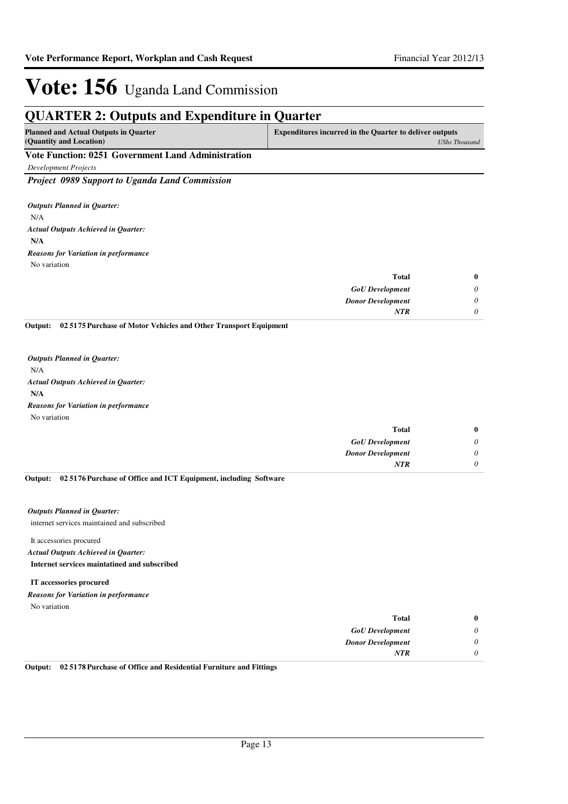## **QUARTER 2: Outputs and Expenditure in Quarter**

| <b>Planned and Actual Outputs in Quarter</b>       | <b>Expenditures incurred in the Quarter to deliver outputs</b> |
|----------------------------------------------------|----------------------------------------------------------------|
| (Quantity and Location)                            | UShs Thousand                                                  |
| Vote Function: 0251 Government Land Administration |                                                                |

*Development Projects*

*Project 0989 Support to Uganda Land Commission*

N/A **N/A** *Actual Outputs Achieved in Quarter: Outputs Planned in Quarter:* No variation *Reasons for Variation in performance*

| <b>Total</b>             | $\bf{0}$ |
|--------------------------|----------|
| <b>GoU</b> Development   | $\theta$ |
| <b>Donor Development</b> | 0        |
| <b>NTR</b>               | 0        |

**02 5175 Purchase of Motor Vehicles and Other Transport Equipment Output:**

N/A **N/A** *Actual Outputs Achieved in Quarter: Outputs Planned in Quarter:* No variation *Reasons for Variation in performance*

| $\bf{0}$ | <b>Total</b>             |
|----------|--------------------------|
| 0        | <b>GoU</b> Development   |
| 0        | <b>Donor Development</b> |
| 0        | <b>NTR</b>               |
|          |                          |

**02 5176 Purchase of Office and ICT Equipment, including Software Output:**

#### *Outputs Planned in Quarter:*

internet services maintained and subscribed

#### It accessories procured **Internet services maintatined and subscribed** *Actual Outputs Achieved in Quarter:*

**IT accessories procured** *Reasons for Variation in performance*

No variation

| $\bf{0}$ | <b>Total</b>             |
|----------|--------------------------|
| 0        | <b>GoU</b> Development   |
| $\theta$ | <b>Donor Development</b> |
| 0        | <b>NTR</b>               |

**Output: 02 5178 Purchase of Office and Residential Furniture and Fittings**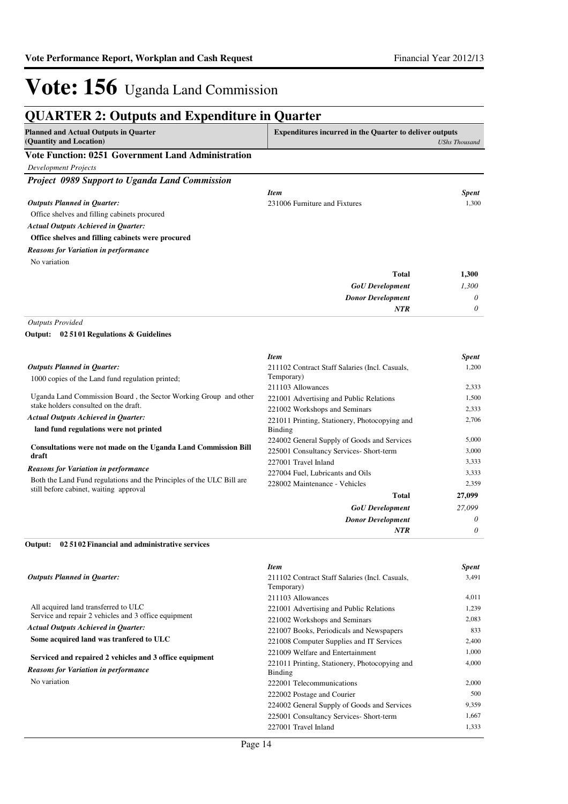| <b>Planned and Actual Outputs in Quarter</b><br>(Quantity and Location) | <b>Expenditures incurred in the Quarter to deliver outputs</b>           | <b>UShs Thousand</b> |
|-------------------------------------------------------------------------|--------------------------------------------------------------------------|----------------------|
| <b>Vote Function: 0251 Government Land Administration</b>               |                                                                          |                      |
| <b>Development Projects</b>                                             |                                                                          |                      |
| Project 0989 Support to Uganda Land Commission                          |                                                                          |                      |
|                                                                         | <b>Item</b>                                                              | <b>Spent</b>         |
| <b>Outputs Planned in Quarter:</b>                                      | 231006 Furniture and Fixtures                                            | 1.300                |
| Office shelves and filling cabinets procured                            |                                                                          |                      |
| <b>Actual Outputs Achieved in Quarter:</b>                              |                                                                          |                      |
| Office shelves and filling cabinets were procured                       |                                                                          |                      |
| <b>Reasons for Variation in performance</b>                             |                                                                          |                      |
| No variation                                                            |                                                                          |                      |
|                                                                         | Total                                                                    | 1,300                |
|                                                                         | <b>GoU</b> Development                                                   | 1,300                |
|                                                                         | <b>Donor Development</b>                                                 | 0                    |
|                                                                         | <b>NTR</b>                                                               | 0                    |
| <b>Outputs Provided</b>                                                 |                                                                          |                      |
| Output:<br>02 5101 Regulations & Guidelines                             |                                                                          |                      |
|                                                                         | <b>Item</b>                                                              | <b>Spent</b>         |
| <b>Outputs Planned in Quarter:</b>                                      | 211102 Contract Staff Salaries (Incl. Casuals,                           | 1,200                |
| 1000 copies of the Land fund regulation printed;                        | Temporary)                                                               |                      |
| Uganda Land Commission Board, the Sector Working Group and other        | 211103 Allowances                                                        | 2,333<br>1,500       |
| stake holders consulted on the draft.                                   | 221001 Advertising and Public Relations<br>221002 Workshops and Seminars | 2,333                |
| <b>Actual Outputs Achieved in Quarter:</b>                              | 221011 Printing, Stationery, Photocopying and                            | 2,706                |
| land fund regulations were not printed                                  | <b>Binding</b>                                                           |                      |
|                                                                         | 224002 General Supply of Goods and Services                              | 5,000                |
| Consultations were not made on the Uganda Land Commission Bill<br>draft | 225001 Consultancy Services- Short-term                                  | 3,000                |
| Reasons for Variation in performance                                    | 227001 Travel Inland                                                     | 3,333                |
| Both the Land Fund regulations and the Principles of the ULC Bill are   | 227004 Fuel, Lubricants and Oils                                         | 3,333                |
| still before cabinet, waiting approval                                  | 228002 Maintenance - Vehicles                                            | 2,359                |
|                                                                         | <b>Total</b>                                                             | 27,099               |
|                                                                         | <b>GoU</b> Development                                                   | 27,099               |
|                                                                         | <b>Donor Development</b>                                                 | 0                    |
|                                                                         | <b>NTR</b>                                                               | $\theta$             |
| 02 5102 Financial and administrative services<br>Output:                |                                                                          |                      |
|                                                                         | <b>Item</b>                                                              | <b>Spent</b>         |

| <b>Outputs Planned in Ouarter:</b>                      | 211102 Contract Staff Salaries (Incl. Casuals,<br>Temporary) | 3,491 |
|---------------------------------------------------------|--------------------------------------------------------------|-------|
|                                                         | 211103 Allowances                                            | 4.011 |
| All acquired land transferred to ULC                    | 221001 Advertising and Public Relations                      | 1,239 |
| Service and repair 2 vehicles and 3 office equipment    | 221002 Workshops and Seminars                                | 2,083 |
| <b>Actual Outputs Achieved in Quarter:</b>              | 221007 Books, Periodicals and Newspapers                     | 833   |
| Some acquired land was tranfered to ULC                 | 221008 Computer Supplies and IT Services                     | 2,400 |
|                                                         | 221009 Welfare and Entertainment                             | 1,000 |
| Serviced and repaired 2 vehicles and 3 office equipment | 221011 Printing, Stationery, Photocopying and                | 4,000 |
| <b>Reasons for Variation in performance</b>             | Binding                                                      |       |
| No variation                                            | 222001 Telecommunications                                    | 2,000 |
|                                                         | 222002 Postage and Courier                                   | 500   |
|                                                         | 224002 General Supply of Goods and Services                  | 9,359 |
|                                                         | 225001 Consultancy Services- Short-term                      | 1,667 |
|                                                         | 227001 Travel Inland                                         | 1,333 |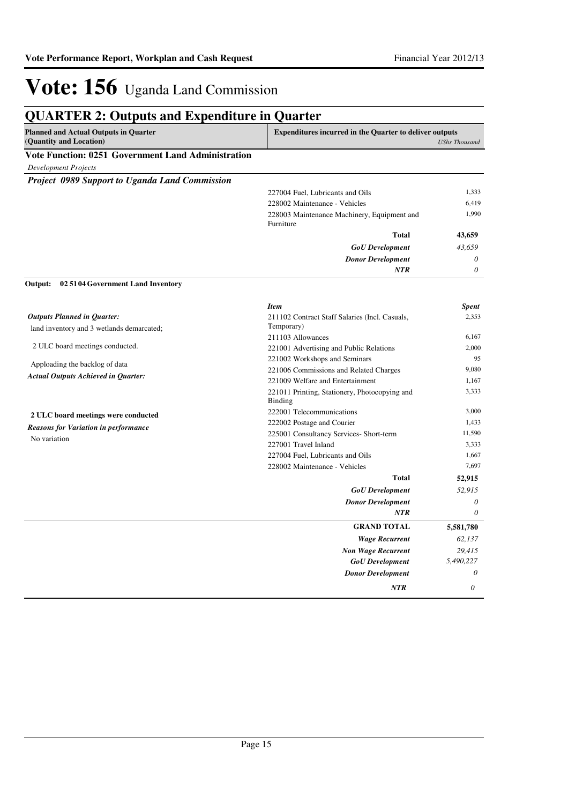## **QUARTER 2: Outputs and Expenditure in Quarter**

| <b>Planned and Actual Outputs in Quarter</b>              | <b>Expenditures incurred in the Quarter to deliver outputs</b> |               |
|-----------------------------------------------------------|----------------------------------------------------------------|---------------|
| (Quantity and Location)                                   |                                                                | UShs Thousand |
| <b>Vote Function: 0251 Government Land Administration</b> |                                                                |               |
| <b>Development Projects</b>                               |                                                                |               |
| <b>Project 0989 Support to Uganda Land Commission</b>     |                                                                |               |
|                                                           | 227004 Fuel, Lubricants and Oils                               | 1,333         |
|                                                           | 228002 Maintenance - Vehicles                                  | 6.419         |
|                                                           | 228003 Maintenance Machinery, Equipment and<br>Furniture       | 1.990         |
|                                                           | <b>Total</b>                                                   | 43,659        |
|                                                           | <b>GoU</b> Development                                         | 43,659        |
|                                                           | <b>Donor Development</b>                                       | $\theta$      |
|                                                           | <b>NTR</b>                                                     | $\theta$      |

#### **02 5104 Government Land Inventory Output:**

|                                             | <b>Item</b>                                              | <b>Spent</b> |
|---------------------------------------------|----------------------------------------------------------|--------------|
| <b>Outputs Planned in Quarter:</b>          | 211102 Contract Staff Salaries (Incl. Casuals,           | 2,353        |
| land inventory and 3 wetlands demarcated;   | Temporary)                                               |              |
|                                             | 211103 Allowances                                        | 6,167        |
| 2 ULC board meetings conducted.             | 221001 Advertising and Public Relations                  | 2,000        |
| Apploading the backlog of data              | 221002 Workshops and Seminars                            | 95           |
|                                             | 221006 Commissions and Related Charges                   | 9,080        |
| <b>Actual Outputs Achieved in Quarter:</b>  | 221009 Welfare and Entertainment                         | 1,167        |
|                                             | 221011 Printing, Stationery, Photocopying and<br>Binding | 3,333        |
| 2 ULC board meetings were conducted         | 222001 Telecommunications                                | 3,000        |
| <b>Reasons for Variation in performance</b> | 222002 Postage and Courier                               | 1,433        |
| No variation                                | 225001 Consultancy Services- Short-term                  | 11,590       |
|                                             | 227001 Travel Inland                                     | 3,333        |
|                                             | 227004 Fuel, Lubricants and Oils                         | 1,667        |
|                                             | 228002 Maintenance - Vehicles                            | 7,697        |
|                                             | <b>Total</b>                                             | 52,915       |
|                                             | <b>GoU</b> Development                                   | 52,915       |
|                                             | <b>Donor Development</b>                                 | 0            |
|                                             | <b>NTR</b>                                               | 0            |
|                                             | <b>GRAND TOTAL</b>                                       | 5,581,780    |
|                                             | <b>Wage Recurrent</b>                                    | 62,137       |
|                                             | <b>Non Wage Recurrent</b>                                | 29,415       |
|                                             | <b>GoU</b> Development                                   | 5,490,227    |
|                                             | <b>Donor Development</b>                                 | 0            |
|                                             | <b>NTR</b>                                               | $\theta$     |
|                                             |                                                          |              |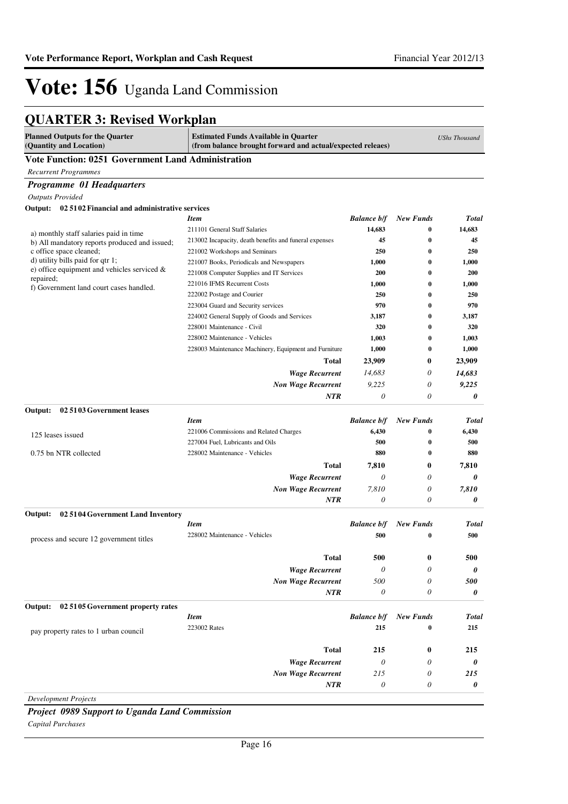## **QUARTER 3: Revised Workplan**

| <b>Planned Outputs for the Quarter</b><br>(Quantity and Location)               | <b>Estimated Funds Available in Quarter</b><br>(from balance brought forward and actual/expected releaes) |                       | <b>UShs Thousand</b> |              |
|---------------------------------------------------------------------------------|-----------------------------------------------------------------------------------------------------------|-----------------------|----------------------|--------------|
| <b>Vote Function: 0251 Government Land Administration</b>                       |                                                                                                           |                       |                      |              |
| <b>Recurrent Programmes</b>                                                     |                                                                                                           |                       |                      |              |
| Programme 01 Headquarters                                                       |                                                                                                           |                       |                      |              |
| <b>Outputs Provided</b>                                                         |                                                                                                           |                       |                      |              |
| Output: 02 5102 Financial and administrative services                           |                                                                                                           |                       |                      |              |
|                                                                                 | <b>Item</b>                                                                                               | <b>Balance b/f</b>    | <b>New Funds</b>     | <b>Total</b> |
| a) monthly staff salaries paid in time                                          | 211101 General Staff Salaries                                                                             | 14,683                | $\bf{0}$             | 14,683       |
| b) All mandatory reports produced and issued;                                   | 213002 Incapacity, death benefits and funeral expenses                                                    | 45                    | 0                    | 45           |
| c office space cleaned:                                                         | 221002 Workshops and Seminars                                                                             | 250                   | 0                    | 250          |
| d) utility bills paid for qtr 1;<br>e) office equipment and vehicles serviced & | 221007 Books, Periodicals and Newspapers                                                                  | 1,000                 | $\bf{0}$             | 1,000        |
| repaired;                                                                       | 221008 Computer Supplies and IT Services                                                                  | 200                   | $\bf{0}$             | <b>200</b>   |
| f) Government land court cases handled.                                         | 221016 IFMS Recurrent Costs                                                                               | 1,000                 | $\bf{0}$             | 1,000        |
|                                                                                 | 222002 Postage and Courier                                                                                | 250                   | 0                    | 250          |
|                                                                                 | 223004 Guard and Security services                                                                        | 970                   | $\bf{0}$             | 970          |
|                                                                                 | 224002 General Supply of Goods and Services                                                               | 3,187                 | 0                    | 3,187        |
|                                                                                 | 228001 Maintenance - Civil                                                                                | 320                   | $\bf{0}$             | 320          |
|                                                                                 | 228002 Maintenance - Vehicles                                                                             | 1,003                 | $\bf{0}$<br>$\bf{0}$ | 1,003        |
|                                                                                 | 228003 Maintenance Machinery, Equipment and Furniture                                                     | 1,000                 |                      | 1,000        |
|                                                                                 | <b>Total</b>                                                                                              | 23,909                | $\bf{0}$             | 23,909       |
|                                                                                 | <b>Wage Recurrent</b>                                                                                     | 14,683                | 0                    | 14,683       |
|                                                                                 | <b>Non Wage Recurrent</b>                                                                                 | 9,225                 | 0                    | 9,225        |
|                                                                                 | NTR                                                                                                       | $\theta$              | 0                    | 0            |
| 02 51 03 Government leases<br>Output:                                           |                                                                                                           |                       |                      |              |
|                                                                                 | <b>Item</b>                                                                                               | <b>Balance b/f</b>    | <b>New Funds</b>     | <b>Total</b> |
| 125 leases issued                                                               | 221006 Commissions and Related Charges                                                                    | 6,430                 | 0                    | 6,430        |
|                                                                                 | 227004 Fuel, Lubricants and Oils                                                                          | 500                   | 0                    | 500          |
| 0.75 bn NTR collected                                                           | 228002 Maintenance - Vehicles                                                                             | 880                   | $\bf{0}$             | 880          |
|                                                                                 | <b>Total</b>                                                                                              | 7,810                 | $\bf{0}$             | 7,810        |
|                                                                                 | <b>Wage Recurrent</b>                                                                                     | $\theta$              | 0                    | 0            |
|                                                                                 | <b>Non Wage Recurrent</b>                                                                                 | 7,810                 | 0                    | 7,810        |
|                                                                                 | NTR                                                                                                       | 0                     | 0                    | 0            |
| Output:<br>02 5104 Government Land Inventory                                    |                                                                                                           |                       |                      |              |
|                                                                                 | <b>Item</b>                                                                                               | <b>Balance b/f</b>    | <b>New Funds</b>     | Total        |
| process and secure 12 government titles                                         | 228002 Maintenance - Vehicles                                                                             | 500                   | $\bf{0}$             | 500          |
|                                                                                 |                                                                                                           |                       |                      |              |
|                                                                                 | <b>Total</b>                                                                                              | 500                   | $\boldsymbol{0}$     | 500          |
|                                                                                 | <b>Wage Recurrent</b>                                                                                     | $\theta$              | 0                    | 0            |
|                                                                                 | <b>Non Wage Recurrent</b>                                                                                 | 500                   | 0                    | 500          |
|                                                                                 | NTR                                                                                                       | $\theta$              | 0                    | 0            |
| 02 5105 Government property rates<br>Output:                                    |                                                                                                           |                       |                      |              |
|                                                                                 | <b>Item</b>                                                                                               | <b>Balance b/f</b>    | <b>New Funds</b>     | Total        |
|                                                                                 | 223002 Rates                                                                                              | 215                   | 0                    | 215          |
| pay property rates to 1 urban council                                           |                                                                                                           |                       |                      |              |
|                                                                                 | <b>Total</b>                                                                                              | 215                   | $\bf{0}$             | 215          |
|                                                                                 | <b>Wage Recurrent</b>                                                                                     | $\theta$              | 0                    | 0            |
|                                                                                 | <b>Non Wage Recurrent</b>                                                                                 | 215                   | 0                    | 215          |
|                                                                                 | <b>NTR</b>                                                                                                | $\boldsymbol{\theta}$ | 0                    | 0            |
| <b>Development Projects</b>                                                     |                                                                                                           |                       |                      |              |

*Project 0989 Support to Uganda Land Commission Capital Purchases*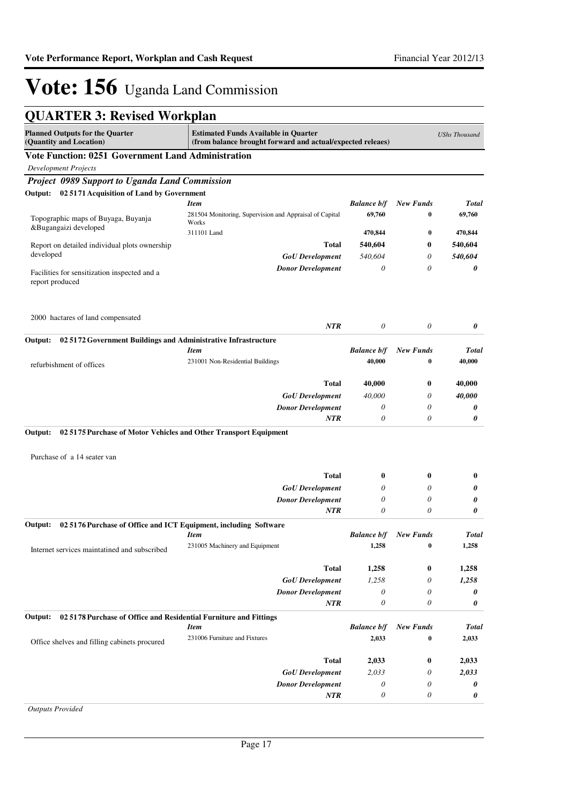## **QUARTER 3: Revised Workplan**

| <b>Planned Outputs for the Quarter</b><br>(Quantity and Location)                                          | <b>Estimated Funds Available in Quarter</b><br>(from balance brought forward and actual/expected releaes) |                           | <b>UShs Thousand</b>  |              |
|------------------------------------------------------------------------------------------------------------|-----------------------------------------------------------------------------------------------------------|---------------------------|-----------------------|--------------|
| <b>Vote Function: 0251 Government Land Administration</b>                                                  |                                                                                                           |                           |                       |              |
| <b>Development Projects</b>                                                                                |                                                                                                           |                           |                       |              |
| Project 0989 Support to Uganda Land Commission                                                             |                                                                                                           |                           |                       |              |
| Output: 02 5171 Acquisition of Land by Government                                                          |                                                                                                           |                           |                       |              |
|                                                                                                            | <b>Item</b>                                                                                               | <b>Balance b/f</b>        | <b>New Funds</b>      | <b>Total</b> |
| Topographic maps of Buyaga, Buyanja                                                                        | 281504 Monitoring, Supervision and Appraisal of Capital                                                   | 69,760                    | $\bf{0}$              | 69,760       |
| &Bugangaizi developed                                                                                      | Works<br>311101 Land                                                                                      | 470,844                   | $\bf{0}$              | 470,844      |
|                                                                                                            | Total                                                                                                     |                           |                       |              |
| Report on detailed individual plots ownership<br>developed                                                 |                                                                                                           | 540,604                   | 0                     | 540,604      |
|                                                                                                            | <b>GoU</b> Development                                                                                    | 540,604                   | 0                     | 540,604      |
| Facilities for sensitization inspected and a<br>report produced                                            | <b>Donor Development</b>                                                                                  | $\theta$                  | 0                     | 0            |
| 2000 hactares of land compensated                                                                          | <b>NTR</b>                                                                                                | 0                         | $\boldsymbol{\theta}$ | 0            |
| Output:<br>02 5172 Government Buildings and Administrative Infrastructure                                  |                                                                                                           |                           |                       |              |
|                                                                                                            | <b>Item</b>                                                                                               | <b>Balance b/f</b>        | <b>New Funds</b>      | <b>Total</b> |
| refurbishment of offices                                                                                   | 231001 Non-Residential Buildings                                                                          | 40,000                    | $\bf{0}$              | 40,000       |
|                                                                                                            | Total                                                                                                     | 40,000                    | 0                     | 40,000       |
|                                                                                                            | <b>GoU</b> Development                                                                                    | 40,000                    | 0                     | 40,000       |
|                                                                                                            | <b>Donor Development</b>                                                                                  | 0                         | 0                     | 0            |
|                                                                                                            | <b>NTR</b>                                                                                                | 0                         | 0                     | 0            |
| 02 5175 Purchase of Motor Vehicles and Other Transport Equipment<br>Output:<br>Purchase of a 14 seater van |                                                                                                           |                           |                       |              |
|                                                                                                            | <b>Total</b>                                                                                              | $\bf{0}$                  | 0                     | $\bf{0}$     |
|                                                                                                            | <b>GoU</b> Development                                                                                    | 0                         | 0                     | 0            |
|                                                                                                            | <b>Donor Development</b>                                                                                  | 0                         | 0                     | 0            |
|                                                                                                            | <b>NTR</b>                                                                                                | 0                         | 0                     | 0            |
| 02 5176 Purchase of Office and ICT Equipment, including Software<br>Output:                                |                                                                                                           |                           |                       |              |
|                                                                                                            | <b>Item</b>                                                                                               | <b>Balance b/f</b>        | <b>New Funds</b>      | <b>Total</b> |
| Internet services maintatined and subscribed                                                               | 231005 Machinery and Equipment                                                                            | 1,258                     | $\bf{0}$              | 1,258        |
|                                                                                                            | <b>Total</b>                                                                                              | 1,258                     | $\bf{0}$              | 1,258        |
|                                                                                                            | <b>GoU</b> Development                                                                                    | 1,258                     | 0                     | 1,258        |
|                                                                                                            | <b>Donor Development</b>                                                                                  | $\boldsymbol{\theta}$     | 0                     | 0            |
|                                                                                                            | <b>NTR</b>                                                                                                | $\boldsymbol{\theta}$     | 0                     | 0            |
| 02 5178 Purchase of Office and Residential Furniture and Fittings<br>Output:                               |                                                                                                           |                           |                       |              |
|                                                                                                            | <b>Item</b>                                                                                               | <b>Balance b/f</b>        | <b>New Funds</b>      | <b>Total</b> |
| Office shelves and filling cabinets procured                                                               | 231006 Furniture and Fixtures                                                                             | 2,033                     | $\bf{0}$              | 2,033        |
|                                                                                                            | <b>Total</b>                                                                                              | 2,033                     | $\bf{0}$              | 2,033        |
|                                                                                                            | <b>GoU</b> Development                                                                                    | 2,033                     | 0                     | 2,033        |
|                                                                                                            | <b>Donor Development</b>                                                                                  | $\boldsymbol{\mathit{0}}$ | 0                     | 0            |
|                                                                                                            | NTR                                                                                                       | 0                         | 0                     | 0            |

*Outputs Provided*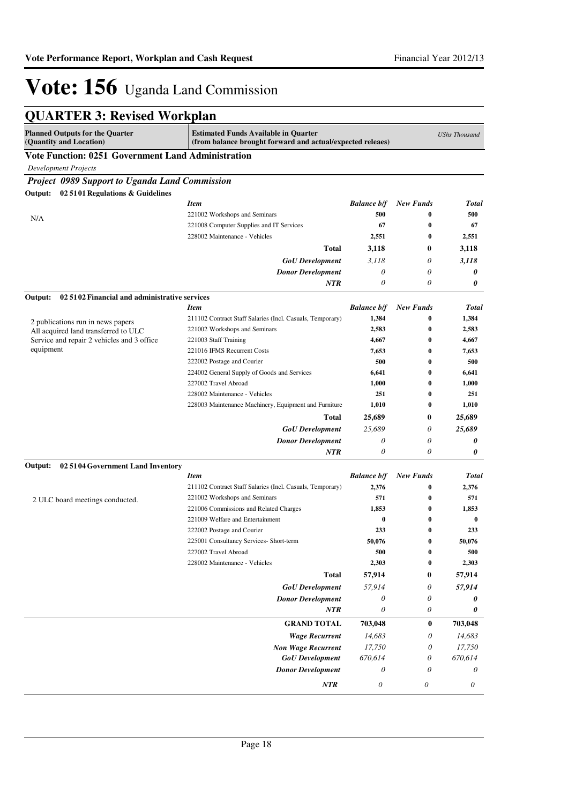| <b>QUARTER 3: Revised Workplan</b> |  |  |  |
|------------------------------------|--|--|--|
|------------------------------------|--|--|--|

| <b>Planned Outputs for the Quarter</b><br>(Quantity and Location) | <b>Estimated Funds Available in Quarter</b><br>(from balance brought forward and actual/expected releaes) |                           |                           | <b>UShs Thousand</b>  |
|-------------------------------------------------------------------|-----------------------------------------------------------------------------------------------------------|---------------------------|---------------------------|-----------------------|
| <b>Vote Function: 0251 Government Land Administration</b>         |                                                                                                           |                           |                           |                       |
| <b>Development Projects</b>                                       |                                                                                                           |                           |                           |                       |
| <b>Project 0989 Support to Uganda Land Commission</b>             |                                                                                                           |                           |                           |                       |
| 02 5101 Regulations & Guidelines<br>Output:                       |                                                                                                           |                           |                           |                       |
|                                                                   | <b>Item</b>                                                                                               | <b>Balance b/f</b>        | <b>New Funds</b>          | <b>Total</b>          |
| N/A                                                               | 221002 Workshops and Seminars                                                                             | 500                       | 0                         | 500                   |
|                                                                   | 221008 Computer Supplies and IT Services                                                                  | 67                        | 0                         | 67                    |
|                                                                   | 228002 Maintenance - Vehicles                                                                             | 2,551                     | 0                         | 2,551                 |
|                                                                   | Total                                                                                                     | 3,118                     | 0                         | 3,118                 |
|                                                                   | <b>GoU</b> Development                                                                                    | 3,118                     | 0                         | 3,118                 |
|                                                                   | <b>Donor Development</b>                                                                                  | 0                         | 0                         | 0                     |
|                                                                   | <b>NTR</b>                                                                                                | $\boldsymbol{\theta}$     | 0                         | 0                     |
| Output:<br>02 5102 Financial and administrative services          |                                                                                                           |                           |                           |                       |
|                                                                   | <b>Item</b>                                                                                               | <b>Balance b/f</b>        | <b>New Funds</b>          | <b>Total</b>          |
| 2 publications run in news papers                                 | 211102 Contract Staff Salaries (Incl. Casuals, Temporary)                                                 | 1,384                     | 0                         | 1,384                 |
| All acquired land transferred to ULC                              | 221002 Workshops and Seminars                                                                             | 2,583                     | 0                         | 2,583                 |
| Service and repair 2 vehicles and 3 office                        | 221003 Staff Training                                                                                     | 4,667                     | 0                         | 4,667                 |
| equipment                                                         | 221016 IFMS Recurrent Costs                                                                               | 7,653                     | 0                         | 7,653                 |
|                                                                   | 222002 Postage and Courier                                                                                | 500                       | $\bf{0}$                  | 500                   |
|                                                                   | 224002 General Supply of Goods and Services                                                               | 6,641                     | 0                         | 6,641                 |
|                                                                   | 227002 Travel Abroad                                                                                      | 1,000                     | $\bf{0}$                  | 1,000                 |
|                                                                   | 228002 Maintenance - Vehicles                                                                             | 251                       | $\bf{0}$                  | 251                   |
|                                                                   | 228003 Maintenance Machinery, Equipment and Furniture                                                     | 1,010                     | $\bf{0}$                  | 1,010                 |
|                                                                   | Total                                                                                                     | 25,689                    | 0                         | 25,689                |
|                                                                   | <b>GoU</b> Development                                                                                    | 25,689                    | 0                         | 25,689                |
|                                                                   | <b>Donor Development</b>                                                                                  | 0                         | 0                         | 0                     |
|                                                                   | <b>NTR</b>                                                                                                | $\boldsymbol{\theta}$     | 0                         | 0                     |
|                                                                   |                                                                                                           |                           |                           |                       |
| 02 5104 Government Land Inventory<br>Output:                      | <b>Item</b>                                                                                               | <b>Balance b/f</b>        | <b>New Funds</b>          | <b>Total</b>          |
|                                                                   | 211102 Contract Staff Salaries (Incl. Casuals, Temporary)                                                 | 2,376                     | 0                         | 2,376                 |
|                                                                   | 221002 Workshops and Seminars                                                                             | 571                       | $\bf{0}$                  | 571                   |
| 2 ULC board meetings conducted.                                   | 221006 Commissions and Related Charges                                                                    | 1,853                     | $\bf{0}$                  | 1,853                 |
|                                                                   | 221009 Welfare and Entertainment                                                                          | 0                         | $\bf{0}$                  | $\bf{0}$              |
|                                                                   | 222002 Postage and Courier                                                                                | 233                       | $\bf{0}$                  | 233                   |
|                                                                   | 225001 Consultancy Services- Short-term                                                                   | 50,076                    | 0                         | 50,076                |
|                                                                   | 227002 Travel Abroad                                                                                      | 500                       | $\bf{0}$                  | 500                   |
|                                                                   | 228002 Maintenance - Vehicles                                                                             | 2,303                     | $\bf{0}$                  | 2,303                 |
|                                                                   | <b>Total</b>                                                                                              | 57,914                    | 0                         | 57,914                |
|                                                                   |                                                                                                           |                           |                           |                       |
|                                                                   | <b>GoU</b> Development                                                                                    | 57,914                    | 0                         | 57,914                |
|                                                                   | <b>Donor Development</b>                                                                                  | 0                         | 0                         | 0                     |
|                                                                   | NTR                                                                                                       | $\boldsymbol{\mathit{0}}$ | 0                         | 0                     |
|                                                                   | <b>GRAND TOTAL</b>                                                                                        | 703,048                   | $\bf{0}$                  | 703,048               |
|                                                                   | <b>Wage Recurrent</b>                                                                                     | 14,683                    | $\boldsymbol{\mathit{0}}$ | 14,683                |
|                                                                   | <b>Non Wage Recurrent</b>                                                                                 | 17,750                    | $\boldsymbol{\mathit{0}}$ | 17,750                |
|                                                                   | <b>GoU</b> Development                                                                                    | 670,614                   | $\boldsymbol{\mathit{0}}$ | 670,614               |
|                                                                   | <b>Donor Development</b>                                                                                  | $\boldsymbol{\mathit{0}}$ | $\theta$                  | $\boldsymbol{\theta}$ |
|                                                                   | NTR                                                                                                       | $\boldsymbol{\mathit{0}}$ | $\boldsymbol{\mathit{0}}$ | 0                     |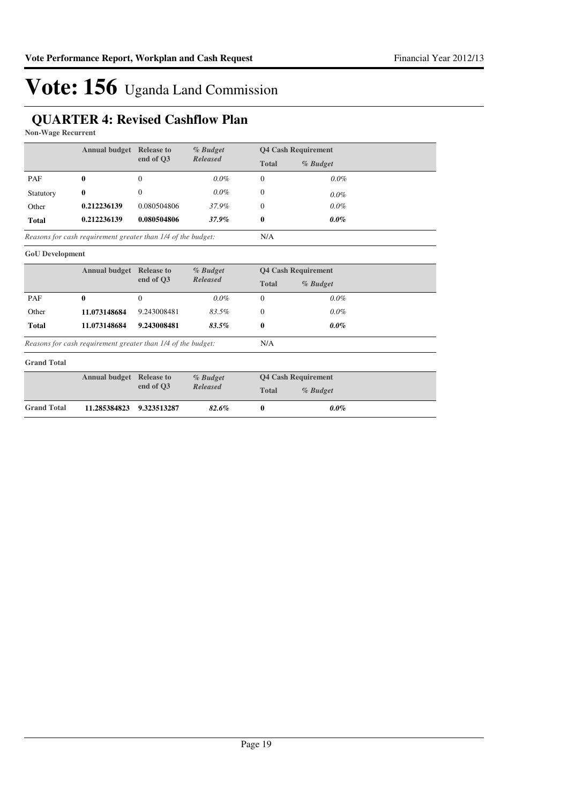## **QUARTER 4: Revised Cashflow Plan**

**Non-Wage Recurrent**

|              | <b>Annual budget</b>                                         | <b>Release to</b> | $%$ Budget      |              | <b>Q4 Cash Requirement</b> |  |
|--------------|--------------------------------------------------------------|-------------------|-----------------|--------------|----------------------------|--|
|              |                                                              | end of O3         | <b>Released</b> | <b>Total</b> | % Budget                   |  |
| PAF          | 0                                                            | $\Omega$          | $0.0\%$         | 0            | $0.0\%$                    |  |
| Statutory    | 0                                                            | 0                 | $0.0\%$         | 0            | $0.0\%$                    |  |
| Other        | 0.212236139                                                  | 0.080504806       | 37.9%           | 0            | $0.0\%$                    |  |
| <b>Total</b> | 0.212236139                                                  | 0.080504806       | 37.9%           | 0            | $0.0\%$                    |  |
|              | Reasons for cash requirement greater than 1/4 of the budget: |                   |                 | N/A          |                            |  |

**GoU Development**

|              | <b>Annual budget</b>                                         | <b>Release to</b> | % Budget        |              | <b>04 Cash Requirement</b> |  |
|--------------|--------------------------------------------------------------|-------------------|-----------------|--------------|----------------------------|--|
|              |                                                              | end of O3         | <b>Released</b> | <b>Total</b> | $%$ Budget                 |  |
| PAF          | 0                                                            | 0                 | $0.0\%$         |              | $0.0\%$                    |  |
| Other        | 11.073148684                                                 | 9.243008481       | 83.5%           |              | $0.0\%$                    |  |
| <b>Total</b> | 11.073148684                                                 | 9.243008481       | $83.5\%$        | 0            | $0.0\%$                    |  |
|              | Reasons for cash requirement greater than 1/4 of the budget: |                   |                 | N/A          |                            |  |

*Reasons for cash requirement greater than 1/4 of the budget:*

#### **Grand Total**

|                    | <b>Annual budget</b> Release to |           |                 | % Budget |          | <b>Q4 Cash Requirement</b> |  |
|--------------------|---------------------------------|-----------|-----------------|----------|----------|----------------------------|--|
|                    |                                 | end of O3 | <b>Released</b> | Total    | % Budget |                            |  |
| <b>Grand Total</b> | 11.285384823 9.323513287        |           | 82.6%           |          | $0.0\%$  |                            |  |